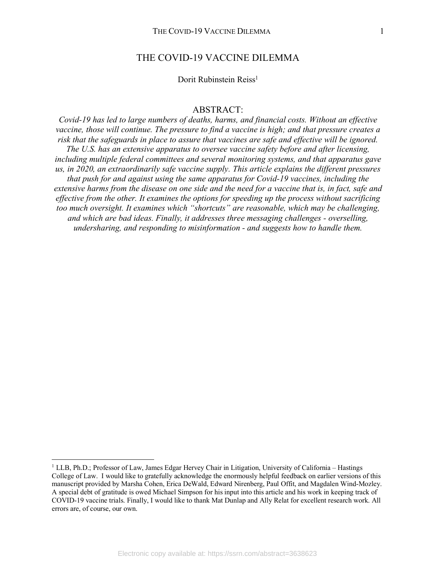# THE COVID-19 VACCINE DILEMMA

# Dorit Rubinstein Reiss<sup>1</sup>

# ABSTRACT:

*Covid-19 has led to large numbers of deaths, harms, and financial costs. Without an effective vaccine, those will continue. The pressure to find a vaccine is high; and that pressure creates a risk that the safeguards in place to assure that vaccines are safe and effective will be ignored. The U.S. has an extensive apparatus to oversee vaccine safety before and after licensing, including multiple federal committees and several monitoring systems, and that apparatus gave us, in 2020, an extraordinarily safe vaccine supply. This article explains the different pressures that push for and against using the same apparatus for Covid-19 vaccines, including the extensive harms from the disease on one side and the need for a vaccine that is, in fact, safe and effective from the other. It examines the options for speeding up the process without sacrificing too much oversight. It examines which "shortcuts" are reasonable, which may be challenging, and which are bad ideas. Finally, it addresses three messaging challenges - overselling, undersharing, and responding to misinformation - and suggests how to handle them.*

 <sup>1</sup> LLB, Ph.D.; Professor of Law, James Edgar Hervey Chair in Litigation, University of California – Hastings College of Law. I would like to gratefully acknowledge the enormously helpful feedback on earlier versions of this manuscript provided by Marsha Cohen, Erica DeWald, Edward Nirenberg, Paul Offit, and Magdalen Wind-Mozley. A special debt of gratitude is owed Michael Simpson for his input into this article and his work in keeping track of COVID-19 vaccine trials. Finally, I would like to thank Mat Dunlap and Ally Relat for excellent research work. All errors are, of course, our own.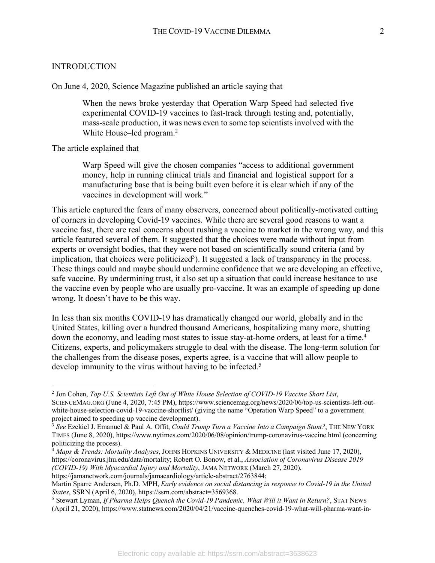#### INTRODUCTION

On June 4, 2020, Science Magazine published an article saying that

When the news broke yesterday that Operation Warp Speed had selected five experimental COVID-19 vaccines to fast-track through testing and, potentially, mass-scale production, it was news even to some top scientists involved with the White House–led program.<sup>2</sup>

The article explained that

Warp Speed will give the chosen companies "access to additional government money, help in running clinical trials and financial and logistical support for a manufacturing base that is being built even before it is clear which if any of the vaccines in development will work."

This article captured the fears of many observers, concerned about politically-motivated cutting of corners in developing Covid-19 vaccines. While there are several good reasons to want a vaccine fast, there are real concerns about rushing a vaccine to market in the wrong way, and this article featured several of them. It suggested that the choices were made without input from experts or oversight bodies, that they were not based on scientifically sound criteria (and by implication, that choices were politicized<sup>3</sup>). It suggested a lack of transparency in the process. These things could and maybe should undermine confidence that we are developing an effective, safe vaccine. By undermining trust, it also set up a situation that could increase hesitance to use the vaccine even by people who are usually pro-vaccine. It was an example of speeding up done wrong. It doesn't have to be this way.

In less than six months COVID-19 has dramatically changed our world, globally and in the United States, killing over a hundred thousand Americans, hospitalizing many more, shutting down the economy, and leading most states to issue stay-at-home orders, at least for a time.<sup>4</sup> Citizens, experts, and policymakers struggle to deal with the disease. The long-term solution for the challenges from the disease poses, experts agree, is a vaccine that will allow people to develop immunity to the virus without having to be infected.<sup>5</sup>

https://jamanetwork.com/journals/jamacardiology/article-abstract/2763844;

 <sup>2</sup> Jon Cohen, *Top U.S. Scientists Left Out of White House Selection of COVID-19 Vaccine Short List*, SCIENCEMAG.ORG (June 4, 2020, 7:45 PM), https://www.sciencemag.org/news/2020/06/top-us-scientists-left-outwhite-house-selection-covid-19-vaccine-shortlist/ (giving the name "Operation Warp Speed" to a government project aimed to speeding up vaccine development).

<sup>3</sup> *See* Ezekiel J. Emanuel & Paul A. Offit, *Could Trump Turn a Vaccine Into a Campaign Stunt?*, THE NEW YORK TIMES (June 8, 2020), https://www.nytimes.com/2020/06/08/opinion/trump-coronavirus-vaccine.html (concerning politicizing the process).

<sup>4</sup> *Maps & Trends: Mortality Analyses*, JOHNS HOPKINS UNIVERSITY & MEDICINE (last visited June 17, 2020), https://coronavirus.jhu.edu/data/mortality; Robert O. Bonow, et al., *Association of Coronavirus Disease 2019 (COVID-19) With Myocardial Injury and Mortality*, JAMA NETWORK (March 27, 2020),

Martin Sparre Andersen, Ph.D. MPH, *Early evidence on social distancing in response to Covid-19 in the United States*, SSRN (April 6, 2020), https://ssrn.com/abstract=3569368.

<sup>5</sup> Stewart Lyman, *If Pharma Helps Quench the Covid-19 Pandemic, What Will it Want in Return?*, STAT NEWS (April 21, 2020), https://www.statnews.com/2020/04/21/vaccine-quenches-covid-19-what-will-pharma-want-in-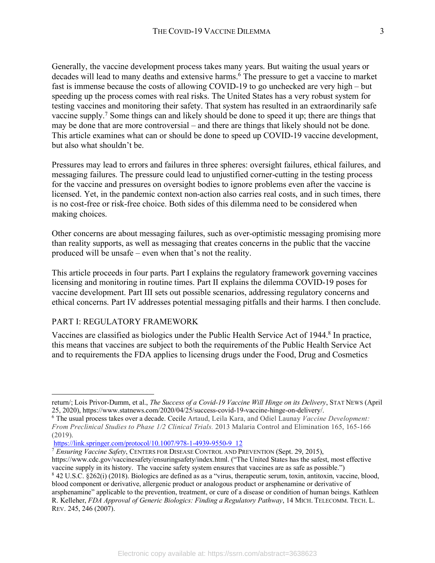Generally, the vaccine development process takes many years. But waiting the usual years or decades will lead to many deaths and extensive harms.<sup>6</sup> The pressure to get a vaccine to market fast is immense because the costs of allowing COVID-19 to go unchecked are very high – but speeding up the process comes with real risks. The United States has a very robust system for testing vaccines and monitoring their safety. That system has resulted in an extraordinarily safe vaccine supply.7 Some things can and likely should be done to speed it up; there are things that may be done that are more controversial – and there are things that likely should not be done. This article examines what can or should be done to speed up COVID-19 vaccine development, but also what shouldn't be.

Pressures may lead to errors and failures in three spheres: oversight failures, ethical failures, and messaging failures. The pressure could lead to unjustified corner-cutting in the testing process for the vaccine and pressures on oversight bodies to ignore problems even after the vaccine is licensed. Yet, in the pandemic context non-action also carries real costs, and in such times, there is no cost-free or risk-free choice. Both sides of this dilemma need to be considered when making choices.

Other concerns are about messaging failures, such as over-optimistic messaging promising more than reality supports, as well as messaging that creates concerns in the public that the vaccine produced will be unsafe – even when that's not the reality.

This article proceeds in four parts. Part I explains the regulatory framework governing vaccines licensing and monitoring in routine times. Part II explains the dilemma COVID-19 poses for vaccine development. Part III sets out possible scenarios, addressing regulatory concerns and ethical concerns. Part IV addresses potential messaging pitfalls and their harms. I then conclude.

# PART I: REGULATORY FRAMEWORK

<u>.</u>

Vaccines are classified as biologics under the Public Health Service Act of 1944.<sup>8</sup> In practice, this means that vaccines are subject to both the requirements of the Public Health Service Act and to requirements the FDA applies to licensing drugs under the Food, Drug and Cosmetics

return/; Lois Privor-Dumm, et al., *The Success of a Covid-19 Vaccine Will Hinge on its Delivery*, STAT NEWS (April 25, 2020), https://www.statnews.com/2020/04/25/success-covid-19-vaccine-hinge-on-delivery/.

<sup>&</sup>lt;sup>6</sup> The usual process takes over a decade. Cecile Artaud, Leila Kara, and Odiel Launay *Vaccine Development: From Preclinical Studies to Phase 1/2 Clinical Trials.* 2013 Malaria Control and Elimination 165, 165-166 (2019).

https://link.springer.com/protocol/10.1007/978-1-4939-9550-9\_12

<sup>7</sup> *Ensuring Vaccine Safety*, CENTERS FOR DISEASE CONTROL AND PREVENTION (Sept. 29, 2015),

https://www.cdc.gov/vaccinesafety/ensuringsafety/index.html. ("The United States has the safest, most effective vaccine supply in its history. The vaccine safety system ensures that vaccines are as safe as possible.")

<sup>8</sup> 42 U.S.C. §262(i) (2018). Biologics are defined as as a "virus, therapeutic serum, toxin, antitoxin, vaccine, blood, blood component or derivative, allergenic product or analogous product or arsphenamine or derivative of arsphenamine" applicable to the prevention, treatment, or cure of a disease or condition of human beings. Kathleen R. Kelleher, *FDA Approval of Generic Biologics: Finding a Regulatory Pathway*, 14 MICH. TELECOMM. TECH. L. REV. 245, 246 (2007).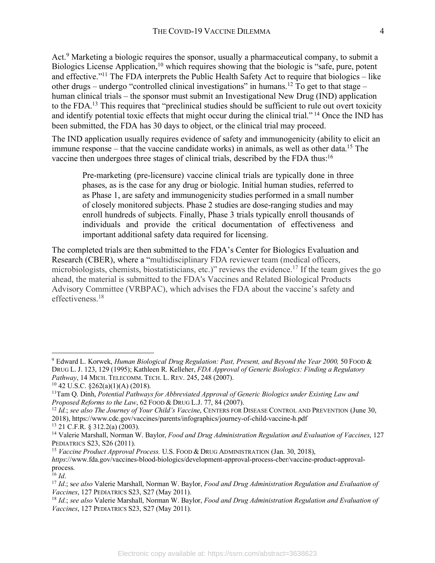Act.<sup>9</sup> Marketing a biologic requires the sponsor, usually a pharmaceutical company, to submit a Biologics License Application,<sup>10</sup> which requires showing that the biologic is "safe, pure, potent and effective."11 The FDA interprets the Public Health Safety Act to require that biologics – like other drugs – undergo "controlled clinical investigations" in humans.<sup>12</sup> To get to that stage – human clinical trials – the sponsor must submit an Investigational New Drug (IND) application to the FDA.13 This requires that "preclinical studies should be sufficient to rule out overt toxicity and identify potential toxic effects that might occur during the clinical trial." <sup>14</sup> Once the IND has been submitted, the FDA has 30 days to object, or the clinical trial may proceed.

The IND application usually requires evidence of safety and immunogenicity (ability to elicit an immune response – that the vaccine candidate works) in animals, as well as other data.<sup>15</sup> The vaccine then undergoes three stages of clinical trials, described by the FDA thus:16

Pre-marketing (pre-licensure) vaccine clinical trials are typically done in three phases, as is the case for any drug or biologic. Initial human studies, referred to as Phase 1, are safety and immunogenicity studies performed in a small number of closely monitored subjects. Phase 2 studies are dose-ranging studies and may enroll hundreds of subjects. Finally, Phase 3 trials typically enroll thousands of individuals and provide the critical documentation of effectiveness and important additional safety data required for licensing.

The completed trials are then submitted to the FDA's Center for Biologics Evaluation and Research (CBER), where a "multidisciplinary FDA reviewer team (medical officers, microbiologists, chemists, biostatisticians, etc.)" reviews the evidence.17 If the team gives the go ahead, the material is submitted to the FDA's Vaccines and Related Biological Products Advisory Committee (VRBPAC), which advises the FDA about the vaccine's safety and effectiveness.18

<sup>12</sup> *Id.*; *see also The Journey of Your Child's Vaccine*, CENTERS FOR DISEASE CONTROL AND PREVENTION (June 30, 2018), https://www.cdc.gov/vaccines/parents/infographics/journey-of-child-vaccine-h.pdf

 <sup>9</sup> Edward L. Korwek, *Human Biological Drug Regulation: Past, Present, and Beyond the Year 2000,* <sup>50</sup> FOOD & DRUG L. J. 123, 129 (1995); Kathleen R. Kelleher, *FDA Approval of Generic Biologics: Finding a Regulatory Pathway*, 14 MICH. TELECOMM. TECH. L. REV. 245, 248 (2007).<br><sup>10</sup> 42 U.S.C. §262(a)(1)(A) (2018).<br><sup>11</sup>Tam Q. Dinh, *Potential Pathways for Abbreviated Approval of Generic Biologics under Existing Law and* 

*Proposed Reforms to the Law*, 62 FOOD & DRUG L.J. 77, 84 (2007).

<sup>13</sup> 21 C.F.R. § 312.2(a) (2003).

<sup>14</sup> Valerie Marshall, Norman W. Baylor, *Food and Drug Administration Regulation and Evaluation of Vaccines*, 127 PEDIATRICS S23, S26 (2011).

<sup>15</sup> *Vaccine Product Approval Process.* U.S. FOOD & DRUG ADMINISTRATION (Jan. 30, 2018),

*https*://www.fda.gov/vaccines-blood-biologics/development-approval-process-cber/vaccine-product-approvalprocess.

<sup>16</sup> *Id*.

<sup>17</sup> *Id*.; s*ee also* Valerie Marshall, Norman W. Baylor, *Food and Drug Administration Regulation and Evaluation of Vaccines*, 127 PEDIATRICS S23, S27 (May 2011).

<sup>18</sup> *Id.*; *see also* Valerie Marshall, Norman W. Baylor, *Food and Drug Administration Regulation and Evaluation of Vaccines*, 127 PEDIATRICS S23, S27 (May 2011).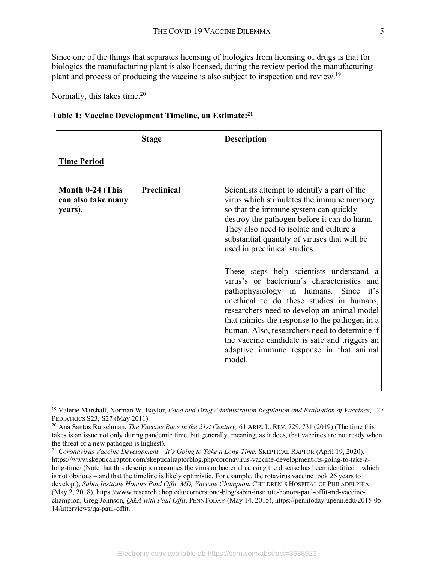Since one of the things that separates licensing of biologics from licensing of drugs is that for biologics the manufacturing plant is also licensed, during the review period the manufacturing plant and process of producing the vaccine is also subject to inspection and review.19

Normally, this takes time.<sup>20</sup>

| Table 1: Vaccine Development Timeline, an Estimate: <sup>21</sup> |
|-------------------------------------------------------------------|
|-------------------------------------------------------------------|

|                                                   | <b>Stage</b>       | <b>Description</b>                                                                                                                                                                                                                                                                                                                                                                                                                                                                                                                                                                                                                                                                                                                                |
|---------------------------------------------------|--------------------|---------------------------------------------------------------------------------------------------------------------------------------------------------------------------------------------------------------------------------------------------------------------------------------------------------------------------------------------------------------------------------------------------------------------------------------------------------------------------------------------------------------------------------------------------------------------------------------------------------------------------------------------------------------------------------------------------------------------------------------------------|
| <b>Time Period</b>                                |                    |                                                                                                                                                                                                                                                                                                                                                                                                                                                                                                                                                                                                                                                                                                                                                   |
| Month 0-24 (This<br>can also take many<br>years). | <b>Preclinical</b> | Scientists attempt to identify a part of the<br>virus which stimulates the immune memory<br>so that the immune system can quickly<br>destroy the pathogen before it can do harm.<br>They also need to isolate and culture a<br>substantial quantity of viruses that will be<br>used in preclinical studies.<br>These steps help scientists understand a<br>virus's or bacterium's characteristics and<br>pathophysiology in humans. Since it's<br>unethical to do these studies in humans,<br>researchers need to develop an animal model<br>that mimics the response to the pathogen in a<br>human. Also, researchers need to determine if<br>the vaccine candidate is safe and triggers an<br>adaptive immune response in that animal<br>model. |

 <sup>19</sup> Valerie Marshall, Norman W. Baylor, *Food and Drug Administration Regulation and Evaluation of Vaccines*, 127 PEDIATRICS S23, S27 (May 2011).

<sup>20</sup> Ana Santos Rutschman, *The Vaccine Race in the 21st Century,* 61 ARIZ. L. REV. 729, 731 (2019) (The time this takes is an issue not only during pandemic time, but generally, meaning, as it does, that vaccines are not ready when the threat of a new pathogen is highest).

<sup>21</sup> *Coronavirus Vaccine Development – It's Going to Take a Long Time*, SKEPTICAL RAPTOR (April 19, 2020), https://www.skepticalraptor.com/skepticalraptorblog.php/coronavirus-vaccine-development-its-going-to-take-along-time/ (Note that this description assumes the virus or bacterial causing the disease has been identified – which is not obvious – and that the timeline is likely optimistic. For example, the rotavirus vaccine took 26 years to develop.); *Sabin Institute Honors Paul Offit, MD, Vaccine Champion*, CHILDREN'S HOSPITAL OF PHILADELPHIA (May 2, 2018), https://www.research.chop.edu/cornerstone-blog/sabin-institute-honors-paul-offit-md-vaccinechampion; Greg Johnson, *Q&A with Paul Offit*, PENNTODAY (May 14, 2015), https://penntoday.upenn.edu/2015-05- 14/interviews/qa-paul-offit.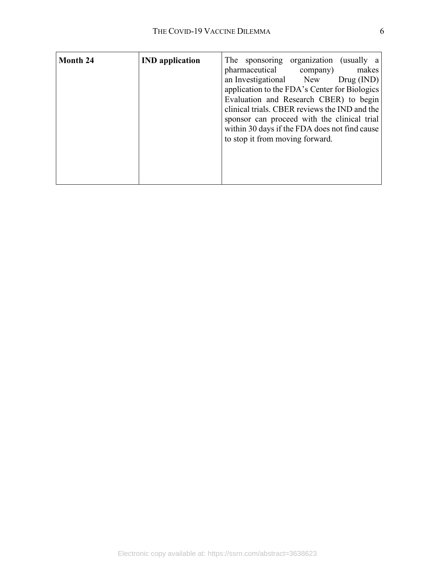| <b>Month 24</b> | <b>IND</b> application |                        | The sponsoring organization (usually a        |            |
|-----------------|------------------------|------------------------|-----------------------------------------------|------------|
|                 |                        | pharmaceutical         | company)                                      | makes      |
|                 |                        | an Investigational New |                                               | Drug (IND) |
|                 |                        |                        | application to the FDA's Center for Biologics |            |
|                 |                        |                        | Evaluation and Research CBER) to begin        |            |
|                 |                        |                        | clinical trials. CBER reviews the IND and the |            |
|                 |                        |                        | sponsor can proceed with the clinical trial   |            |
|                 |                        |                        | within 30 days if the FDA does not find cause |            |
|                 |                        |                        | to stop it from moving forward.               |            |
|                 |                        |                        |                                               |            |
|                 |                        |                        |                                               |            |
|                 |                        |                        |                                               |            |
|                 |                        |                        |                                               |            |
|                 |                        |                        |                                               |            |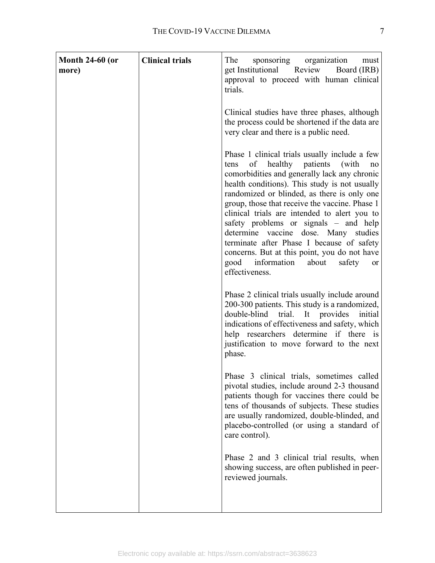| <b>Month 24-60 (or</b><br>more) | <b>Clinical trials</b> | The<br>sponsoring organization<br>must<br>get Institutional<br>Review<br>Board (IRB)<br>approval to proceed with human clinical<br>trials.                                                                                                                                                                                                                                                                                                                                                                                                                                                               |
|---------------------------------|------------------------|----------------------------------------------------------------------------------------------------------------------------------------------------------------------------------------------------------------------------------------------------------------------------------------------------------------------------------------------------------------------------------------------------------------------------------------------------------------------------------------------------------------------------------------------------------------------------------------------------------|
|                                 |                        | Clinical studies have three phases, although<br>the process could be shortened if the data are<br>very clear and there is a public need.                                                                                                                                                                                                                                                                                                                                                                                                                                                                 |
|                                 |                        | Phase 1 clinical trials usually include a few<br>healthy patients<br>(with<br>of<br>tens<br>no<br>comorbidities and generally lack any chronic<br>health conditions). This study is not usually<br>randomized or blinded, as there is only one<br>group, those that receive the vaccine. Phase 1<br>clinical trials are intended to alert you to<br>safety problems or signals – and help<br>determine vaccine dose. Many studies<br>terminate after Phase I because of safety<br>concerns. But at this point, you do not have<br>good information<br>about<br>safety<br><sub>or</sub><br>effectiveness. |
|                                 |                        | Phase 2 clinical trials usually include around<br>200-300 patients. This study is a randomized,<br>double-blind<br>trial. It provides<br>initial<br>indications of effectiveness and safety, which<br>help researchers determine if there is<br>justification to move forward to the next<br>phase.                                                                                                                                                                                                                                                                                                      |
|                                 |                        | Phase 3 clinical trials, sometimes called<br>pivotal studies, include around 2-3 thousand<br>patients though for vaccines there could be<br>tens of thousands of subjects. These studies<br>are usually randomized, double-blinded, and<br>placebo-controlled (or using a standard of<br>care control).                                                                                                                                                                                                                                                                                                  |
|                                 |                        | Phase 2 and 3 clinical trial results, when<br>showing success, are often published in peer-<br>reviewed journals.                                                                                                                                                                                                                                                                                                                                                                                                                                                                                        |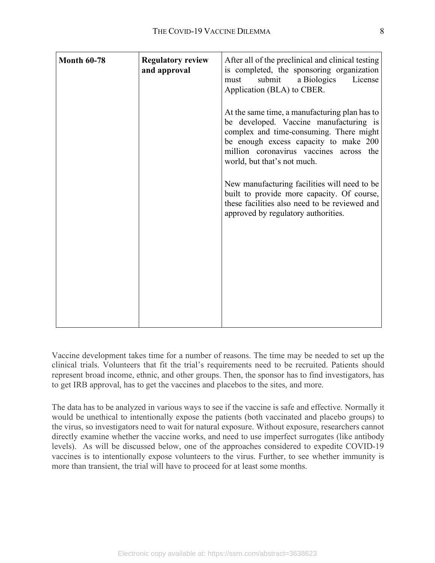| <b>Month 60-78</b> | <b>Regulatory review</b><br>and approval | After all of the preclinical and clinical testing<br>is completed, the sponsoring organization<br>submit<br>a Biologics<br>License<br>must<br>Application (BLA) to CBER.                                                                              |
|--------------------|------------------------------------------|-------------------------------------------------------------------------------------------------------------------------------------------------------------------------------------------------------------------------------------------------------|
|                    |                                          | At the same time, a manufacturing plan has to<br>be developed. Vaccine manufacturing is<br>complex and time-consuming. There might<br>be enough excess capacity to make 200<br>million coronavirus vaccines across the<br>world, but that's not much. |
|                    |                                          | New manufacturing facilities will need to be<br>built to provide more capacity. Of course,<br>these facilities also need to be reviewed and<br>approved by regulatory authorities.                                                                    |
|                    |                                          |                                                                                                                                                                                                                                                       |
|                    |                                          |                                                                                                                                                                                                                                                       |

Vaccine development takes time for a number of reasons. The time may be needed to set up the clinical trials. Volunteers that fit the trial's requirements need to be recruited. Patients should represent broad income, ethnic, and other groups. Then, the sponsor has to find investigators, has to get IRB approval, has to get the vaccines and placebos to the sites, and more.

The data has to be analyzed in various ways to see if the vaccine is safe and effective. Normally it would be unethical to intentionally expose the patients (both vaccinated and placebo groups) to the virus, so investigators need to wait for natural exposure. Without exposure, researchers cannot directly examine whether the vaccine works, and need to use imperfect surrogates (like antibody levels). As will be discussed below, one of the approaches considered to expedite COVID-19 vaccines is to intentionally expose volunteers to the virus. Further, to see whether immunity is more than transient, the trial will have to proceed for at least some months.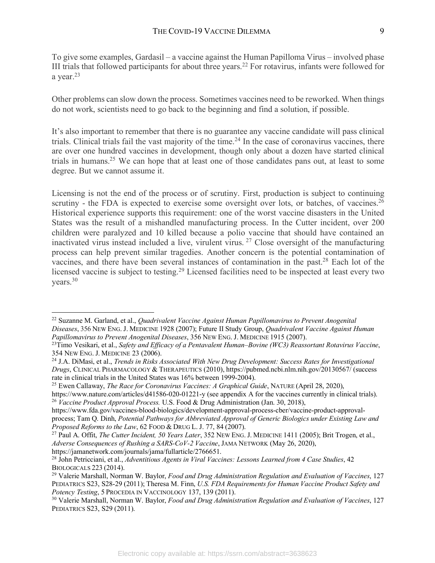To give some examples, Gardasil – a vaccine against the Human Papilloma Virus – involved phase III trials that followed participants for about three years. <sup>22</sup> For rotavirus, infants were followed for a year.<sup>23</sup>

Other problems can slow down the process. Sometimes vaccines need to be reworked. When things do not work, scientists need to go back to the beginning and find a solution, if possible.

It's also important to remember that there is no guarantee any vaccine candidate will pass clinical trials. Clinical trials fail the vast majority of the time.<sup>24</sup> In the case of coronavirus vaccines, there are over one hundred vaccines in development, though only about a dozen have started clinical trials in humans.25 We can hope that at least one of those candidates pans out, at least to some degree. But we cannot assume it.

Licensing is not the end of the process or of scrutiny. First, production is subject to continuing scrutiny - the FDA is expected to exercise some oversight over lots, or batches, of vaccines.<sup>26</sup> Historical experience supports this requirement: one of the worst vaccine disasters in the United States was the result of a mishandled manufacturing process. In the Cutter incident, over 200 children were paralyzed and 10 killed because a polio vaccine that should have contained an inactivated virus instead included a live, virulent virus. <sup>27</sup> Close oversight of the manufacturing process can help prevent similar tragedies. Another concern is the potential contamination of vaccines, and there have been several instances of contamination in the past.28 Each lot of the licensed vaccine is subject to testing.<sup>29</sup> Licensed facilities need to be inspected at least every two years.30

<sup>25</sup> Ewen Callaway, *The Race for Coronavirus Vaccines: A Graphical Guide*, NATURE (April 28, 2020),

 <sup>22</sup> Suzanne M. Garland, et al., *Quadrivalent Vaccine Against Human Papillomavirus to Prevent Anogenital Diseases*, 356 NEW ENG. J. MEDICINE 1928 (2007); Future II Study Group, *Quadrivalent Vaccine Against Human Papillomavirus to Prevent Anogenital Diseases*, 356 NEW ENG. J. MEDICINE 1915 (2007).

<sup>23</sup>Timo Vesikari, et al., *Safety and Efficacy of a Pentavalent Human–Bovine (WC3) Reassortant Rotavirus Vaccine*, 354 NEW ENG. J. MEDICINE 23 (2006).

<sup>24</sup> J.A. DiMasi, et al., *Trends in Risks Associated With New Drug Development: Success Rates for Investigational Drugs*, CLINICAL PHARMACOLOGY & THERAPEUTICS (2010), https://pubmed.ncbi.nlm.nih.gov/20130567/ (success rate in clinical trials in the United States was 16% between 1999-2004).

https://www.nature.com/articles/d41586-020-01221-y (see appendix A for the vaccines currently in clinical trials). <sup>26</sup> *Vaccine Product Approval Process.* U.S. Food & Drug Administration (Jan. 30, 2018),

https://www.fda.gov/vaccines-blood-biologics/development-approval-process-cber/vaccine-product-approvalprocess; Tam Q. Dinh, *Potential Pathways for Abbreviated Approval of Generic Biologics under Existing Law and Proposed Reforms to the Law*, 62 FOOD & DRUG L. J. 77, 84 (2007).

<sup>27</sup> Paul A. Offit, *The Cutter Incident, 50 Years Later*, 352 NEW ENG. J. MEDICINE 1411 (2005); Brit Trogen, et al., *Adverse Consequences of Rushing a SARS-CoV-2 Vaccine*, JAMA NETWORK (May 26, 2020),

https://jamanetwork.com/journals/jama/fullarticle/2766651.<br><sup>28</sup> John Petricciani, et al., *Adventitious Agents in Viral Vaccines: Lessons Learned from 4 Case Studies*, 42 BIOLOGICALS 223 (2014).

<sup>29</sup> Valerie Marshall, Norman W. Baylor, *Food and Drug Administration Regulation and Evaluation of Vaccines*, 127 PEDIATRICS S23, S28-29 (2011); Theresa M. Finn, *U.S. FDA Requirements for Human Vaccine Product Safety and Potency Testing*, 5 PROCEDIA IN VACCINOLOGY 137, 139 (2011).

<sup>30</sup> Valerie Marshall, Norman W. Baylor, *Food and Drug Administration Regulation and Evaluation of Vaccines*, 127 PEDIATRICS S23, S29 (2011).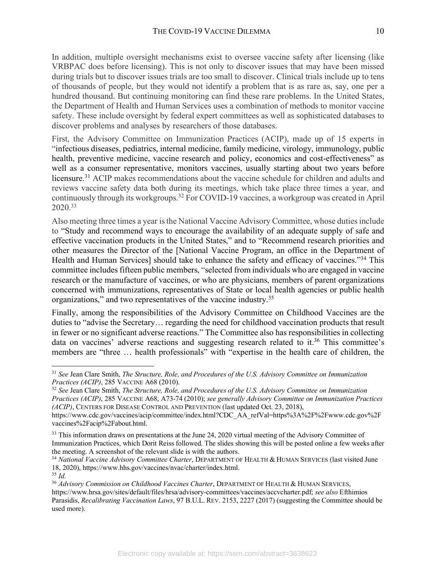In addition, multiple oversight mechanisms exist to oversee vaccine safety after licensing (like VRBPAC does before licensing). This is not only to discover issues that may have been missed during trials but to discover issues trials are too small to discover. Clinical trials include up to tens of thousands of people, but they would not identify a problem that is as rare as, say, one per a hundred thousand. But continuing monitoring can find these rare problems. In the United States, the Department of Health and Human Services uses a combination of methods to monitor vaccine safety. These include oversight by federal expert committees as well as sophisticated databases to discover problems and analyses by researchers of those databases.

First, the Advisory Committee on Immunization Practices (ACIP), made up of 15 experts in "infectious diseases, pediatrics, internal medicine, family medicine, virology, immunology, public health, preventive medicine, vaccine research and policy, economics and cost-effectiveness" as well as a consumer representative, monitors vaccines, usually starting about two years before licensure.<sup>31</sup> ACIP makes recommendations about the vaccine schedule for children and adults and reviews vaccine safety data both during its meetings, which take place three times a year, and continuously through its workgroups.32 For COVID-19 vaccines, a workgroup was created in April 2020.33

Also meeting three times a year is the National Vaccine Advisory Committee, whose duties include to "Study and recommend ways to encourage the availability of an adequate supply of safe and effective vaccination products in the United States," and to "Recommend research priorities and other measures the Director of the [National Vaccine Program, an office in the Department of Health and Human Services] should take to enhance the safety and efficacy of vaccines."34 This committee includes fifteen public members, "selected from individuals who are engaged in vaccine research or the manufacture of vaccines, or who are physicians, members of parent organizations concerned with immunizations, representatives of State or local health agencies or public health organizations," and two representatives of the vaccine industry.35

Finally, among the responsibilities of the Advisory Committee on Childhood Vaccines are the duties to "advise the Secretary… regarding the need for childhood vaccination products that result in fewer or no significant adverse reactions." The Committee also has responsibilities in collecting data on vaccines' adverse reactions and suggesting research related to it.<sup>36</sup> This committee's members are "three … health professionals" with "expertise in the health care of children, the

 <sup>31</sup> *See* Jean Clare Smith, *The Structure, Role, and Procedures of the U.S. Advisory Committee on Immunization Practices (ACIP)*, 285 VACCINE A68 (2010).

<sup>32</sup> *See* Jean Clare Smith, *The Structure, Role, and Procedures of the U.S. Advisory Committee on Immunization Practices (ACIP)*, 285 VACCINE A68, A73-74 (2010); *see generally Advisory Committee on Immunization Practices (ACIP)*, CENTERS FOR DISEASE CONTROL AND PREVENTION (last updated Oct. 23, 2018), https://www.cdc.gov/vaccines/acip/committee/index.html?CDC\_AA\_refVal=https%3A%2F%2Fwww.cdc.gov%2F

vaccines%2Facip%2Fabout.html.

<sup>&</sup>lt;sup>33</sup> This information draws on presentations at the June 24, 2020 virtual meeting of the Advisory Committee of Immunization Practices, which Dorit Reiss followed. The slides showing this will be posted online a few weeks after the meeting. A screenshot of the relevant slide is with the authors.

<sup>34</sup> *National Vaccine Advisory Committee Charter*, DEPARTMENT OF HEALTH & HUMAN SERVICES (last visited June 18, 2020), https://www.hhs.gov/vaccines/nvac/charter/index.html. <sup>35</sup> *Id.*

<sup>36</sup> *Advisory Commission on Childhood Vaccines Charter*, DEPARTMENT OF HEALTH & HUMAN SERVICES, https://www.hrsa.gov/sites/default/files/hrsa/advisory-committees/vaccines/accvcharter.pdf; *see also* Efthimios Parasidis, *Recalibrating Vaccination Laws*, 97 B.U.L. REV. 2153, 2227 (2017) (suggesting the Committee should be used more).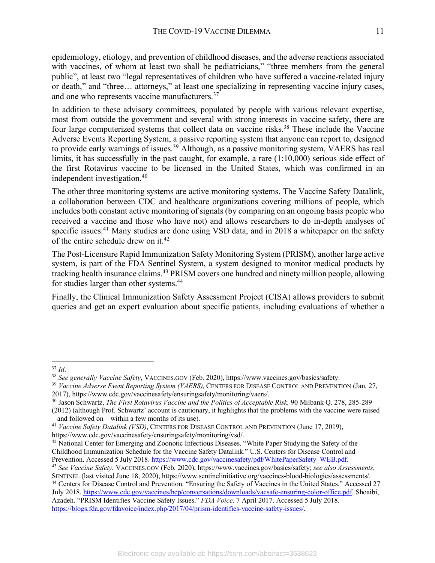epidemiology, etiology, and prevention of childhood diseases, and the adverse reactions associated with vaccines, of whom at least two shall be pediatricians," "three members from the general public", at least two "legal representatives of children who have suffered a vaccine-related injury or death," and "three… attorneys," at least one specializing in representing vaccine injury cases, and one who represents vaccine manufacturers.<sup>37</sup>

In addition to these advisory committees, populated by people with various relevant expertise, most from outside the government and several with strong interests in vaccine safety, there are four large computerized systems that collect data on vaccine risks.<sup>38</sup> These include the Vaccine Adverse Events Reporting System, a passive reporting system that anyone can report to, designed to provide early warnings of issues.<sup>39</sup> Although, as a passive monitoring system, VAERS has real limits, it has successfully in the past caught, for example, a rare (1:10,000) serious side effect of the first Rotavirus vaccine to be licensed in the United States, which was confirmed in an independent investigation.40

The other three monitoring systems are active monitoring systems. The Vaccine Safety Datalink, a collaboration between CDC and healthcare organizations covering millions of people, which includes both constant active monitoring of signals (by comparing on an ongoing basis people who received a vaccine and those who have not) and allows researchers to do in-depth analyses of specific issues.<sup>41</sup> Many studies are done using VSD data, and in 2018 a whitepaper on the safety of the entire schedule drew on it.42

The Post-Licensure Rapid Immunization Safety Monitoring System (PRISM), another large active system, is part of the FDA Sentinel System, a system designed to monitor medical products by tracking health insurance claims.<sup>43</sup> PRISM covers one hundred and ninety million people, allowing for studies larger than other systems.<sup>44</sup>

Finally, the Clinical Immunization Safety Assessment Project (CISA) allows providers to submit queries and get an expert evaluation about specific patients, including evaluations of whether a

<sup>&</sup>lt;sup>37</sup> Id.<br><sup>38</sup> See generally Vaccine Safety, VACCINES.GOV (Feb. 2020), https://www.vaccines.gov/basics/safety.<br><sup>39</sup> Vaccine Adverse Event Reporting System (VAERS), CENTERS FOR DISEASE CONTROL AND PREVENTION (Jan. 27, 2017), https://www.cdc.gov/vaccinesafety/ensuringsafety/monitoring/vaers/.

<sup>40</sup> Jason Schwartz, *The First Rotavirus Vaccine and the Politics of Acceptable Risk,* 90 Milbank Q. 278, 285-289 (2012) (although Prof. Schwartz' account is cautionary, it highlights that the problems with the vaccine were raised – and followed on – within a few months of its use). 41 *Vaccine Safety Datalink (VSD)*, CENTERS FOR DISEASE CONTROL AND PREVENTION (June 17, 2019),

https://www.cdc.gov/vaccinesafety/ensuringsafety/monitoring/vsd/.

<sup>&</sup>lt;sup>42</sup> National Center for Emerging and Zoonotic Infectious Diseases. "White Paper Studying the Safety of the Childhood Immunization Schedule for the Vaccine Safety Datalink." U.S. Centers for Disease Control and Prevention. Accessed 5 July 2018. https://www.cdc.gov/vaccinesafety/pdf/WhitePaperSafety\_WEB.pdf.

<sup>43</sup> *See Vaccine Safety*, VACCINES.GOV (Feb. 2020), https://www.vaccines.gov/basics/safety; *see also Assessments*, SENTINEL (last visited June 18, 2020), https://www.sentinelinitiative.org/vaccines-blood-biologics/assessments/. <sup>44</sup> Centers for Disease Control and Prevention. "Ensuring the Safety of Vaccines in the United States." Accessed 27 July 2018. https://www.cdc.gov/vaccines/hcp/conversations/downloads/vacsafe-ensuring-color-office.pdf. Shoaibi, Azadeh. "PRISM Identifies Vaccine Safety Issues." *FDA Voice*. 7 April 2017. Accessed 5 July 2018. https://blogs.fda.gov/fdavoice/index.php/2017/04/prism-identifies-vaccine-safety-issues/.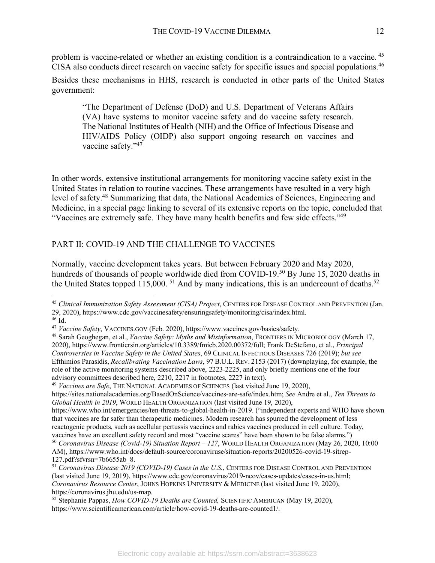problem is vaccine-related or whether an existing condition is a contraindication to a vaccine. <sup>45</sup> CISA also conducts direct research on vaccine safety for specific issues and special populations.<sup>46</sup>

Besides these mechanisms in HHS, research is conducted in other parts of the United States government:

"The Department of Defense (DoD) and U.S. Department of Veterans Affairs (VA) have systems to monitor vaccine safety and do vaccine safety research. The National Institutes of Health (NIH) and the Office of Infectious Disease and HIV/AIDS Policy (OIDP) also support ongoing research on vaccines and vaccine safety."47

In other words, extensive institutional arrangements for monitoring vaccine safety exist in the United States in relation to routine vaccines. These arrangements have resulted in a very high level of safety.48 Summarizing that data, the National Academies of Sciences, Engineering and Medicine, in a special page linking to several of its extensive reports on the topic, concluded that "Vaccines are extremely safe. They have many health benefits and few side effects."49

# PART II: COVID-19 AND THE CHALLENGE TO VACCINES

Normally, vaccine development takes years. But between February 2020 and May 2020, hundreds of thousands of people worldwide died from COVID-19.<sup>50</sup> By June 15, 2020 deaths in the United States topped  $115,000$ . <sup>51</sup> And by many indications, this is an undercount of deaths.<sup>52</sup>

https://sites.nationalacademies.org/BasedOnScience/vaccines-are-safe/index.htm; *See* Andre et al., *Ten Threats to Global Health in 2019*, WORLD HEALTH ORGANIZATION (last visited June 19, 2020),

https://www.who.int/emergencies/ten-threats-to-global-health-in-2019. ("independent experts and WHO have shown that vaccines are far safer than therapeutic medicines. Modern research has spurred the development of less reactogenic products, such as acellular pertussis vaccines and rabies vaccines produced in cell culture. Today, vaccines have an excellent safety record and most "vaccine scares" have been shown to be false alarms.")

 <sup>45</sup> *Clinical Immunization Safety Assessment (CISA) Project*, CENTERS FOR DISEASE CONTROL AND PREVENTION (Jan. 29, 2020), https://www.cdc.gov/vaccinesafety/ensuringsafety/monitoring/cisa/index.html.

<sup>&</sup>lt;sup>47</sup> *Vaccine Safety*, VACCINES.GOV (Feb. 2020), https://www.vaccines.gov/basics/safety.

<sup>48</sup> Sarah Geoghegan, et al., *Vaccine Safety: Myths and Misinformation*, FRONTIERS IN MICROBIOLOGY (March 17, 2020), https://www.frontiersin.org/articles/10.3389/fmicb.2020.00372/full; Frank DeStefano, et al., *Principal Controversies in Vaccine Safety in the United States*, 69 CLINICAL INFECTIOUS DISEASES 726 (2019); *but see* Efthimios Parasidis, *Recalibrating Vaccination Laws*, 97 B.U.L. REV. 2153 (2017) (downplaying, for example, the role of the active monitoring systems described above, 2223-2225, and only briefly mentions one of the four advisory committees described here, 2210, 2217 in footnotes, 2227 in text). 49 *Vaccines are Safe*, THE NATIONAL ACADEMIES OF SCIENCES (last visited June 19, 2020),

<sup>50</sup> *Coronavirus Disease (Covid-19) Situation Report – 127*, WORLD HEALTH ORGANIZATION (May 26, 2020, 10:00 AM), https://www.who.int/docs/default-source/coronaviruse/situation-reports/20200526-covid-19-sitrep-127.pdf?sfvrsn=7b6655ab\_8. 51 *Coronavirus Disease 2019 (COVID-19) Cases in the U.S.*, CENTERS FOR DISEASE CONTROL AND PREVENTION

<sup>(</sup>last visited June 19, 2019), https://www.cdc.gov/coronavirus/2019-ncov/cases-updates/cases-in-us.html; *Coronavirus Resource Center*, JOHNS HOPKINS UNIVERSITY & MEDICINE (last visited June 19, 2020), https://coronavirus.jhu.edu/us-map. 52 Stephanie Pappas, *How COVID-19 Deaths are Counted,* SCIENTIFIC AMERICAN (May 19, 2020),

https://www.scientificamerican.com/article/how-covid-19-deaths-are-counted1/.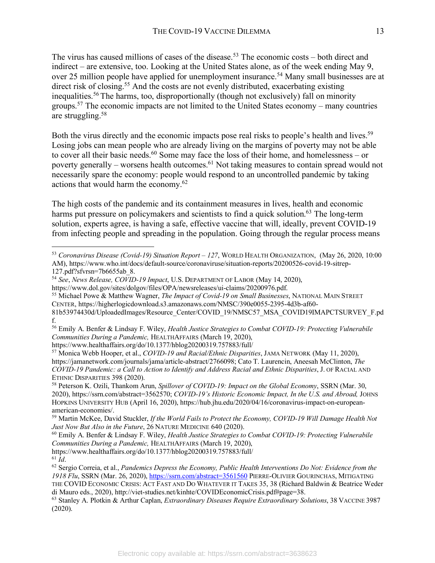The virus has caused millions of cases of the disease.<sup>53</sup> The economic costs – both direct and indirect – are extensive, too. Looking at the United States alone, as of the week ending May 9, over 25 million people have applied for unemployment insurance.<sup>54</sup> Many small businesses are at direct risk of closing.<sup>55</sup> And the costs are not evenly distributed, exacerbating existing inequalities. <sup>56</sup> The harms, too, disproportionally (though not exclusively) fall on minority groups.57 The economic impacts are not limited to the United States economy – many countries are struggling.58

Both the virus directly and the economic impacts pose real risks to people's health and lives.<sup>59</sup> Losing jobs can mean people who are already living on the margins of poverty may not be able to cover all their basic needs.<sup>60</sup> Some may face the loss of their home, and homelessness – or poverty generally – worsens health outcomes.61 Not taking measures to contain spread would not necessarily spare the economy: people would respond to an uncontrolled pandemic by taking actions that would harm the economy.62

The high costs of the pandemic and its containment measures in lives, health and economic harms put pressure on policymakers and scientists to find a quick solution.<sup>63</sup> The long-term solution, experts agree, is having a safe, effective vaccine that will, ideally, prevent COVID-19 from infecting people and spreading in the population. Going through the regular process means

https://www.healthaffairs.org/do/10.1377/hblog20200319.757883/full/

https://www.healthaffairs.org/do/10.1377/hblog20200319.757883/full/  $61$  *Id*.

 <sup>53</sup> *Coronavirus Disease (Covid-19) Situation Report – <sup>127</sup>*, WORLD HEALTH ORGANIZATION, (May 26, 2020, 10:00 AM), https://www.who.int/docs/default-source/coronaviruse/situation-reports/20200526-covid-19-sitrep-127.pdf?sfvrsn=7b6655ab\_8.

<sup>54</sup> *See*, *News Release, COVID-19 Impact*, U.S. DEPARTMENT OF LABOR (May 14, 2020),

https://www.dol.gov/sites/dolgov/files/OPA/newsreleases/ui-claims/20200976.pdf. 55 Michael Powe & Matthew Wagner, *The Impact of Covid-19 on Small Businesses*, NATIONAL MAIN STREET CENTER, https://higherlogicdownload.s3.amazonaws.com/NMSC/390e0055-2395-4d3b-af60-

<sup>81</sup>b53974430d/UploadedImages/Resource\_Center/COVID\_19/NMSC57\_MSA\_COVID19IMAPCTSURVEY\_F.pd f.

<sup>56</sup> Emily A. Benfer & Lindsay F. Wiley, *Health Justice Strategies to Combat COVID-19: Protecting Vulnerabile Communities During a Pandemic,* HEALTHAFFAIRS (March 19, 2020),

<sup>57</sup> Monica Webb Hooper, et al., *COVID-19 and Racial/Ethnic Disparities*, JAMA NETWORK (May 11, 2020), https://jamanetwork.com/journals/jama/article-abstract/2766098; Cato T. Laurencin, Aneesah McClinton, *The COVID-19 Pandemic: a Call to Action to Identify and Address Racial and Ethnic Disparities*, J. OF RACIAL AND ETHNIC DISPARITIES 398 (2020).<br><sup>58</sup> Peterson K. Ozili, Thankom Arun, *Spillover of COVID-19: Impact on the Global Economy*, SSRN (Mar. 30,

<sup>2020),</sup> https://ssrn.com/abstract=3562570; *COVID-19's Historic Economic Impact, In the U.S. and Abroad,* JOHNS HOPKINS UNIVERSITY HUB (April 16, 2020), https://hub.jhu.edu/2020/04/16/coronavirus-impact-on-europeanamerican-economies/.

<sup>59</sup> Martin McKee, David Stuckler, *If the World Fails to Protect the Economy, COVID-19 Will Damage Health Not Just Now But Also in the Future*, 26 NATURE MEDICINE 640 (2020).

<sup>60</sup> Emily A. Benfer & Lindsay F. Wiley, *Health Justice Strategies to Combat COVID-19: Protecting Vulnerabile Communities During a Pandemic,* HEALTHAFFAIRS (March 19, 2020),

<sup>62</sup> Sergio Correia, et al., *Pandemics Depress the Economy, Public Health Interventions Do Not: Evidence from the 1918 Flu*, SSRN (Mar. 26, 2020), https://ssrn.com/abstract=3561560 PIERRE-OLIVIER GOURINCHAS, MITIGATING THE COVID ECONOMIC CRISIS: ACT FAST AND DO WHATEVER IT TAKES 35, 38 (Richard Baldwin & Beatrice Weder di Mauro eds., 2020), http://viet-studies.net/kinhte/COVIDEconomicCrisis.pdf#page=38.

<sup>63</sup> Stanley A. Plotkin & Arthur Caplan, *Extraordinary Diseases Require Extraordinary Solutions*, 38 VACCINE 3987 (2020).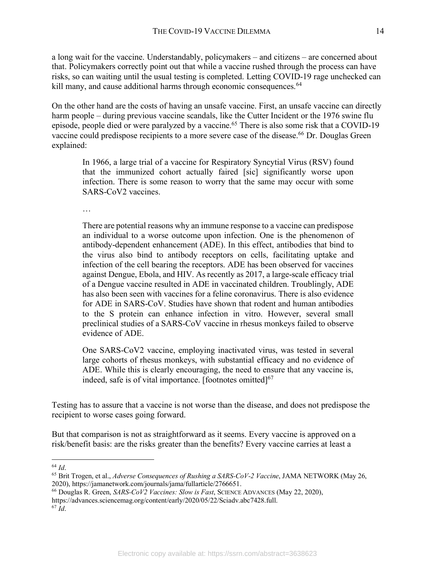a long wait for the vaccine. Understandably, policymakers – and citizens – are concerned about that. Policymakers correctly point out that while a vaccine rushed through the process can have risks, so can waiting until the usual testing is completed. Letting COVID-19 rage unchecked can kill many, and cause additional harms through economic consequences.<sup>64</sup>

On the other hand are the costs of having an unsafe vaccine. First, an unsafe vaccine can directly harm people – during previous vaccine scandals, like the Cutter Incident or the 1976 swine flu episode, people died or were paralyzed by a vaccine.<sup>65</sup> There is also some risk that a COVID-19 vaccine could predispose recipients to a more severe case of the disease.<sup>66</sup> Dr. Douglas Green explained:

In 1966, a large trial of a vaccine for Respiratory Syncytial Virus (RSV) found that the immunized cohort actually faired [sic] significantly worse upon infection. There is some reason to worry that the same may occur with some SARS-CoV2 vaccines.

…

There are potential reasons why an immune response to a vaccine can predispose an individual to a worse outcome upon infection. One is the phenomenon of antibody-dependent enhancement (ADE). In this effect, antibodies that bind to the virus also bind to antibody receptors on cells, facilitating uptake and infection of the cell bearing the receptors. ADE has been observed for vaccines against Dengue, Ebola, and HIV. As recently as 2017, a large-scale efficacy trial of a Dengue vaccine resulted in ADE in vaccinated children. Troublingly, ADE has also been seen with vaccines for a feline coronavirus. There is also evidence for ADE in SARS-CoV. Studies have shown that rodent and human antibodies to the S protein can enhance infection in vitro. However, several small preclinical studies of a SARS-CoV vaccine in rhesus monkeys failed to observe evidence of ADE.

One SARS-CoV2 vaccine, employing inactivated virus, was tested in several large cohorts of rhesus monkeys, with substantial efficacy and no evidence of ADE. While this is clearly encouraging, the need to ensure that any vaccine is, indeed, safe is of vital importance. [footnotes omitted]<sup>67</sup>

Testing has to assure that a vaccine is not worse than the disease, and does not predispose the recipient to worse cases going forward.

But that comparison is not as straightforward as it seems. Every vaccine is approved on a risk/benefit basis: are the risks greater than the benefits? Every vaccine carries at least a

64 *Id*.

- <sup>66</sup> Douglas R. Green, *SARS-CoV2 Vaccines: Slow is Fast*, SCIENCE ADVANCES (May 22, 2020), https://advances.sciencemag.org/content/early/2020/05/22/Sciadv.abc7428.full.
- <sup>67</sup> *Id*.

<sup>65</sup> Brit Trogen, et al., *Adverse Consequences of Rushing a SARS-CoV-2 Vaccine*, JAMA NETWORK (May 26, 2020), https://jamanetwork.com/journals/jama/fullarticle/2766651.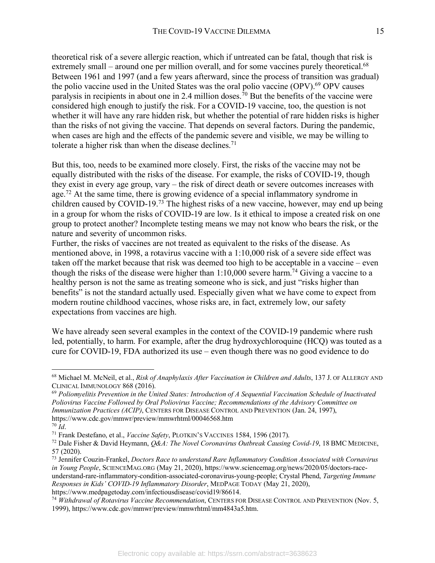theoretical risk of a severe allergic reaction, which if untreated can be fatal, though that risk is extremely small – around one per million overall, and for some vaccines purely theoretical.<sup>68</sup> Between 1961 and 1997 (and a few years afterward, since the process of transition was gradual) the polio vaccine used in the United States was the oral polio vaccine (OPV).<sup>69</sup> OPV causes paralysis in recipients in about one in 2.4 million doses.<sup>70</sup> But the benefits of the vaccine were considered high enough to justify the risk. For a COVID-19 vaccine, too, the question is not whether it will have any rare hidden risk, but whether the potential of rare hidden risks is higher than the risks of not giving the vaccine. That depends on several factors. During the pandemic, when cases are high and the effects of the pandemic severe and visible, we may be willing to tolerate a higher risk than when the disease declines.<sup>71</sup>

But this, too, needs to be examined more closely. First, the risks of the vaccine may not be equally distributed with the risks of the disease. For example, the risks of COVID-19, though they exist in every age group, vary – the risk of direct death or severe outcomes increases with age.<sup>72</sup> At the same time, there is growing evidence of a special inflammatory syndrome in children caused by COVID-19.73 The highest risks of a new vaccine, however, may end up being in a group for whom the risks of COVID-19 are low. Is it ethical to impose a created risk on one group to protect another? Incomplete testing means we may not know who bears the risk, or the nature and severity of uncommon risks.

Further, the risks of vaccines are not treated as equivalent to the risks of the disease. As mentioned above, in 1998, a rotavirus vaccine with a 1:10,000 risk of a severe side effect was taken off the market because that risk was deemed too high to be acceptable in a vaccine – even though the risks of the disease were higher than  $1:10,000$  severe harm.<sup>74</sup> Giving a vaccine to a healthy person is not the same as treating someone who is sick, and just "risks higher than benefits" is not the standard actually used. Especially given what we have come to expect from modern routine childhood vaccines, whose risks are, in fact, extremely low, our safety expectations from vaccines are high.

We have already seen several examples in the context of the COVID-19 pandemic where rush led, potentially, to harm. For example, after the drug hydroxychloroquine (HCQ) was touted as a cure for COVID-19, FDA authorized its use – even though there was no good evidence to do

 <sup>68</sup> Michael M. McNeil, et al., *Risk of Anaphylaxis After Vaccination in Children and Adults*, 137 J. OF ALLERGY AND CLINICAL IMMUNOLOGY 868 (2016).

<sup>69</sup> *Poliomyelitis Prevention in the United States: Introduction of A Sequential Vaccination Schedule of Inactivated Poliovirus Vaccine Followed by Oral Poliovirus Vaccine; Recommendations of the Advisory Committee on Immunization Practices (ACIP)*, CENTERS FOR DISEASE CONTROL AND PREVENTION (Jan. 24, 1997), https://www.cdc.gov/mmwr/preview/mmwrhtml/00046568.htm<br><sup>70</sup> Id.

<sup>&</sup>lt;sup>71</sup> Frank Destefano, et al., *Vaccine Safety*, PLOTKIN'S VACCINES 1584, 1596 (2017).

<sup>72</sup> Dale Fisher & David Heymann, *Q&A: The Novel Coronavirus Outbreak Causing Covid-19*, 18 BMC MEDICINE, 57 (2020).

<sup>73</sup> Jennifer Couzin-Frankel, *Doctors Race to understand Rare Inflammatory Condition Associated with Cornavirus in Young People*, SCIENCEMAG.ORG (May 21, 2020), https://www.sciencemag.org/news/2020/05/doctors-raceunderstand-rare-inflammatory-condition-associated-coronavirus-young-people; Crystal Phend, *Targeting Immune Responses in Kids' COVID-19 Inflammatory Disorder*, MEDPAGE TODAY (May 21, 2020), https://www.medpagetoday.com/infectiousdisease/covid19/86614.

<sup>74</sup> *Withdrawal of Rotavirus Vaccine Recommendation*, CENTERS FOR DISEASE CONTROL AND PREVENTION (Nov. 5, 1999), https://www.cdc.gov/mmwr/preview/mmwrhtml/mm4843a5.htm.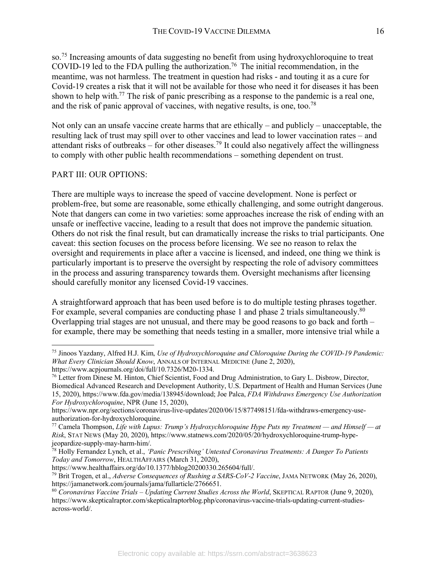so.75 Increasing amounts of data suggesting no benefit from using hydroxychloroquine to treat COVID-19 led to the FDA pulling the authorization. <sup>76</sup> The initial recommendation, in the meantime, was not harmless. The treatment in question had risks - and touting it as a cure for Covid-19 creates a risk that it will not be available for those who need it for diseases it has been shown to help with.<sup>77</sup> The risk of panic prescribing as a response to the pandemic is a real one, and the risk of panic approval of vaccines, with negative results, is one, too.<sup>78</sup>

Not only can an unsafe vaccine create harms that are ethically – and publicly – unacceptable, the resulting lack of trust may spill over to other vaccines and lead to lower vaccination rates – and attendant risks of outbreaks – for other diseases.<sup>79</sup> It could also negatively affect the willingness to comply with other public health recommendations – something dependent on trust.

# PART III: OUR OPTIONS:

There are multiple ways to increase the speed of vaccine development. None is perfect or problem-free, but some are reasonable, some ethically challenging, and some outright dangerous. Note that dangers can come in two varieties: some approaches increase the risk of ending with an unsafe or ineffective vaccine, leading to a result that does not improve the pandemic situation. Others do not risk the final result, but can dramatically increase the risks to trial participants. One caveat: this section focuses on the process before licensing. We see no reason to relax the oversight and requirements in place after a vaccine is licensed, and indeed, one thing we think is particularly important is to preserve the oversight by respecting the role of advisory committees in the process and assuring transparency towards them. Oversight mechanisms after licensing should carefully monitor any licensed Covid-19 vaccines.

A straightforward approach that has been used before is to do multiple testing phrases together. For example, several companies are conducting phase 1 and phase 2 trials simultaneously.<sup>80</sup> Overlapping trial stages are not unusual, and there may be good reasons to go back and forth – for example, there may be something that needs testing in a smaller, more intensive trial while a

 <sup>75</sup> Jinoos Yazdany, Alfred H.J. Kim, *Use of Hydroxychloroquine and Chloroquine During the COVID-19 Pandemic: What Every Clinician Should Know*, ANNALS OF INTERNAL MEDICINE (June 2, 2020),

https://www.acpjournals.org/doi/full/10.7326/M20-1334.<br><sup>76</sup> Letter from Dinese M. Hinton, Chief Scientist, Food and Drug Administration, to Gary L. Disbrow, Director, Biomedical Advanced Research and Development Authority, U.S. Department of Health and Human Services (June 15, 2020), https://www.fda.gov/media/138945/download; Joe Palca, *FDA Withdraws Emergency Use Authorization For Hydroxychloroquine*, NPR (June 15, 2020),

https://www.npr.org/sections/coronavirus-live-updates/2020/06/15/877498151/fda-withdraws-emergency-useauthorization-for-hydroxychloroquine. 77 Camela Thompson, *Life with Lupus: Trump's Hydroxychloroquine Hype Puts my Treatment — and Himself — at* 

*Risk*, STAT NEWS (May 20, 2020), https://www.statnews.com/2020/05/20/hydroxychloroquine-trump-hypejeopardize-supply-may-harm-him/.

<sup>78</sup> Holly Fernandez Lynch, et al., *'Panic Prescribing' Untested Coronavirus Treatments: A Danger To Patients Today and Tomorrow*, HEALTHAFFAIRS (March 31, 2020),

https://www.healthaffairs.org/do/10.1377/hblog20200330.265604/full/.

<sup>79</sup> Brit Trogen, et al., *Adverse Consequences of Rushing a SARS-CoV-2 Vaccine*, JAMA NETWORK (May 26, 2020), https://jamanetwork.com/journals/jama/fullarticle/2766651.

<sup>80</sup> *Coronavirus Vaccine Trials – Updating Current Studies Across the World*, SKEPTICAL RAPTOR (June 9, 2020), https://www.skepticalraptor.com/skepticalraptorblog.php/coronavirus-vaccine-trials-updating-current-studiesacross-world/.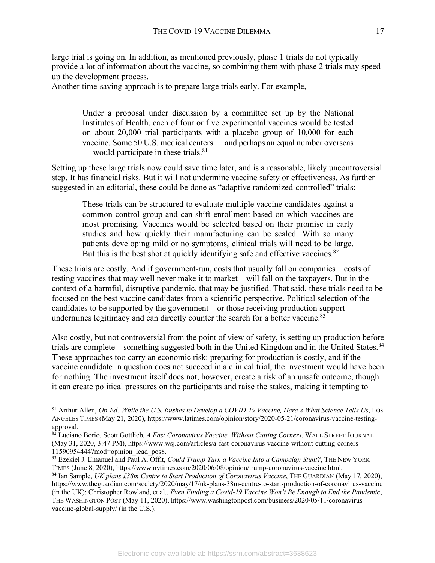large trial is going on. In addition, as mentioned previously, phase 1 trials do not typically provide a lot of information about the vaccine, so combining them with phase 2 trials may speed up the development process.

Another time-saving approach is to prepare large trials early. For example,

Under a proposal under discussion by a committee set up by the National Institutes of Health, each of four or five experimental vaccines would be tested on about 20,000 trial participants with a placebo group of 10,000 for each vaccine. Some 50 U.S. medical centers — and perhaps an equal number overseas — would participate in these trials. $81$ 

Setting up these large trials now could save time later, and is a reasonable, likely uncontroversial step. It has financial risks. But it will not undermine vaccine safety or effectiveness. As further suggested in an editorial, these could be done as "adaptive randomized-controlled" trials:

These trials can be structured to evaluate multiple vaccine candidates against a common control group and can shift enrollment based on which vaccines are most promising. Vaccines would be selected based on their promise in early studies and how quickly their manufacturing can be scaled. With so many patients developing mild or no symptoms, clinical trials will need to be large. But this is the best shot at quickly identifying safe and effective vaccines.<sup>82</sup>

These trials are costly. And if government-run, costs that usually fall on companies – costs of testing vaccines that may well never make it to market – will fall on the taxpayers. But in the context of a harmful, disruptive pandemic, that may be justified. That said, these trials need to be focused on the best vaccine candidates from a scientific perspective. Political selection of the candidates to be supported by the government – or those receiving production support – undermines legitimacy and can directly counter the search for a better vaccine.<sup>83</sup>

Also costly, but not controversial from the point of view of safety, is setting up production before trials are complete – something suggested both in the United Kingdom and in the United States.<sup>84</sup> These approaches too carry an economic risk: preparing for production is costly, and if the vaccine candidate in question does not succeed in a clinical trial, the investment would have been for nothing. The investment itself does not, however, create a risk of an unsafe outcome, though it can create political pressures on the participants and raise the stakes, making it tempting to

 <sup>81</sup> Arthur Allen, *Op-Ed: While the U.S. Rushes to Develop a COVID-19 Vaccine, Here's What Science Tells Us*, LOS ANGELES TIMES (May 21, 2020), https://www.latimes.com/opinion/story/2020-05-21/coronavirus-vaccine-testing-

<sup>&</sup>lt;sup>82</sup> Luciano Borio, Scott Gottlieb, *A Fast Coronavirus Vaccine, Without Cutting Corners*, WALL STREET JOURNAL (May 31, 2020, 3:47 PM), https://www.wsj.com/articles/a-fast-coronavirus-vaccine-without-cutting-corners-11590954444?mod=opinion\_lead\_pos8.

<sup>83</sup> Ezekiel J. Emanuel and Paul A. Offit, *Could Trump Turn a Vaccine Into a Campaign Stunt?*, THE NEW YORK TIMES (June 8, 2020), https://www.nytimes.com/2020/06/08/opinion/trump-coronavirus-vaccine.html.

<sup>84</sup> Ian Sample, *UK plans £38m Centre to Start Production of Coronavirus Vaccine*, THE GUARDIAN (May 17, 2020), https://www.theguardian.com/society/2020/may/17/uk-plans-38m-centre-to-start-production-of-coronavirus-vaccine (in the UK); Christopher Rowland, et al., *Even Finding a Covid-19 Vaccine Won't Be Enough to End the Pandemic*, THE WASHINGTON POST (May 11, 2020), https://www.washingtonpost.com/business/2020/05/11/coronavirusvaccine-global-supply/ (in the U.S.).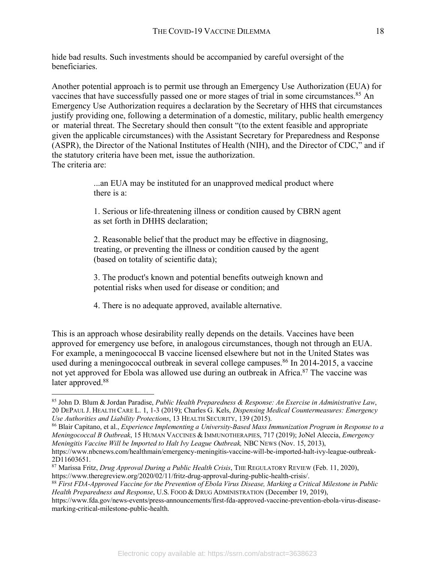hide bad results. Such investments should be accompanied by careful oversight of the beneficiaries.

Another potential approach is to permit use through an Emergency Use Authorization (EUA) for vaccines that have successfully passed one or more stages of trial in some circumstances.<sup>85</sup> An Emergency Use Authorization requires a declaration by the Secretary of HHS that circumstances justify providing one, following a determination of a domestic, military, public health emergency or material threat. The Secretary should then consult "(to the extent feasible and appropriate given the applicable circumstances) with the Assistant Secretary for Preparedness and Response (ASPR), the Director of the National Institutes of Health (NIH), and the Director of CDC," and if the statutory criteria have been met, issue the authorization. The criteria are:

> ...an EUA may be instituted for an unapproved medical product where there is a:

1. Serious or life-threatening illness or condition caused by CBRN agent as set forth in DHHS declaration;

2. Reasonable belief that the product may be effective in diagnosing, treating, or preventing the illness or condition caused by the agent (based on totality of scientific data);

3. The product's known and potential benefits outweigh known and potential risks when used for disease or condition; and

4. There is no adequate approved, available alternative.

This is an approach whose desirability really depends on the details. Vaccines have been approved for emergency use before, in analogous circumstances, though not through an EUA. For example, a meningococcal B vaccine licensed elsewhere but not in the United States was used during a meningococcal outbreak in several college campuses.<sup>86</sup> In 2014-2015, a vaccine not yet approved for Ebola was allowed use during an outbreak in Africa.<sup>87</sup> The vaccine was later approved.<sup>88</sup>

 <sup>85</sup> John D. Blum & Jordan Paradise, *Public Health Preparedness & Response: An Exercise in Administrative Law*, 20 DEPAUL J. HEALTH CARE L. 1, 1-3 (2019); Charles G. Kels, *Dispensing Medical Countermeasures: Emergency Use Authorities and Liability Protections*, 13 HEALTH SECURITY, 139 (2015).

<sup>86</sup> Blair Capitano, et al., *Experience Implementing a University-Based Mass Immunization Program in Response to a Meningococcal B Outbreak*, 15 HUMAN VACCINES & IMMUNOTHERAPIES, 717 (2019); JoNel Aleccia, *Emergency Meningitis Vaccine Will be Imported to Halt Ivy League Outbreak, NBC NEWS (Nov. 15, 2013),* https://www.nbcnews.com/healthmain/emergency-meningitis-vaccine-will-be-imported-halt-ivy-league-outbreak-

<sup>2</sup>D11603651. 87 Marissa Fritz, *Drug Approval During a Public Health Crisis*, THE REGULATORY REVIEW (Feb. 11, 2020), https://www.theregreview.org/2020/02/11/fritz-drug-approval-during-public-health-crisis/. 88 *First FDA-Approved Vaccine for the Prevention of Ebola Virus Disease, Marking a Critical Milestone in Public* 

*Health Preparedness and Response*, U.S. FOOD & DRUG ADMINISTRATION (December 19, 2019),

https://www.fda.gov/news-events/press-announcements/first-fda-approved-vaccine-prevention-ebola-virus-diseasemarking-critical-milestone-public-health.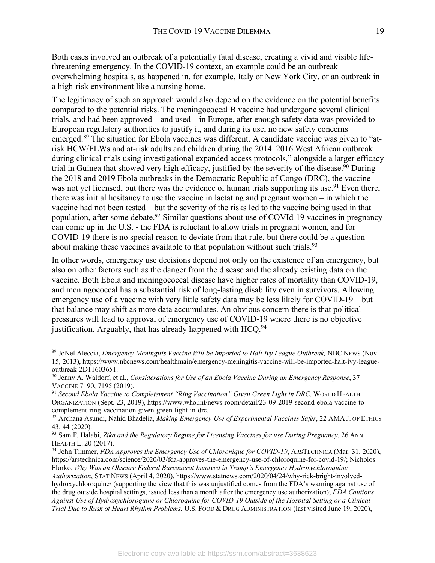Both cases involved an outbreak of a potentially fatal disease, creating a vivid and visible lifethreatening emergency. In the COVID-19 context, an example could be an outbreak overwhelming hospitals, as happened in, for example, Italy or New York City, or an outbreak in a high-risk environment like a nursing home.

The legitimacy of such an approach would also depend on the evidence on the potential benefits compared to the potential risks. The meningococcal B vaccine had undergone several clinical trials, and had been approved – and used – in Europe, after enough safety data was provided to European regulatory authorities to justify it, and during its use, no new safety concerns emerged.89 The situation for Ebola vaccines was different. A candidate vaccine was given to "atrisk HCW/FLWs and at-risk adults and children during the 2014–2016 West African outbreak during clinical trials using investigational expanded access protocols," alongside a larger efficacy trial in Guinea that showed very high efficacy, justified by the severity of the disease.<sup>90</sup> During the 2018 and 2019 Ebola outbreaks in the Democratic Republic of Congo (DRC), the vaccine was not yet licensed, but there was the evidence of human trials supporting its use.<sup>91</sup> Even there, there was initial hesitancy to use the vaccine in lactating and pregnant women – in which the vaccine had not been tested – but the severity of the risks led to the vaccine being used in that population, after some debate.<sup>92</sup> Similar questions about use of COVId-19 vaccines in pregnancy can come up in the U.S. - the FDA is reluctant to allow trials in pregnant women, and for COVID-19 there is no special reason to deviate from that rule, but there could be a question about making these vaccines available to that population without such trials.<sup>93</sup>

In other words, emergency use decisions depend not only on the existence of an emergency, but also on other factors such as the danger from the disease and the already existing data on the vaccine. Both Ebola and meningococcal disease have higher rates of mortality than COVID-19, and meningococcal has a substantial risk of long-lasting disability even in survivors. Allowing emergency use of a vaccine with very little safety data may be less likely for COVID-19 – but that balance may shift as more data accumulates. An obvious concern there is that political pressures will lead to approval of emergency use of COVID-19 where there is no objective justification. Arguably, that has already happened with  $HCO<sup>94</sup>$ .

 <sup>89</sup> JoNel Aleccia, *Emergency Meningitis Vaccine Will be Imported to Halt Ivy League Outbreak,* NBC NEWS (Nov. 15, 2013), https://www.nbcnews.com/healthmain/emergency-meningitis-vaccine-will-be-imported-halt-ivy-leagueoutbreak-2D11603651.

<sup>90</sup> Jenny A. Waldorf, et al., *Considerations for Use of an Ebola Vaccine During an Emergency Response*, 37 VACCINE 7190, 7195 (2019).<br><sup>91</sup> Second Ebola Vaccine to Completement "Ring Vaccination" Given Green Light in DRC, WORLD HEALTH

ORGANIZATION (Sept. 23, 2019), https://www.who.int/news-room/detail/23-09-2019-second-ebola-vaccine-tocomplement-ring-vaccination-given-green-light-in-drc.

<sup>92</sup> Archana Asundi, Nahid Bhadelia, *Making Emergency Use of Experimental Vaccines Safer*, 22 AMA J. OF ETHICS 43, 44 (2020).

<sup>93</sup> Sam F. Halabi, *Zika and the Regulatory Regime for Licensing Vaccines for use During Pregnancy*, 26 ANN. HEALTH L. 20 (2017).

<sup>94</sup> John Timmer, *FDA Approves the Emergency Use of Chloronique for COVID-19*, ARSTECHNICA (Mar. 31, 2020), https://arstechnica.com/science/2020/03/fda-approves-the-emergency-use-of-chloroquine-for-covid-19/; Nicholos Florko, *Why Was an Obscure Federal Bureaucrat Involved in Trump's Emergency Hydroxychloroquine* 

*Authorization*, STAT NEWS (April 4, 2020), https://www.statnews.com/2020/04/24/why-rick-bright-involvedhydroxychloroquine/ (supporting the view that this was unjustified comes from the FDA's warning against use of the drug outside hospital settings, issued less than a month after the emergency use authorization); *FDA Cautions Against Use of Hydroxychloroquine or Chloroquine for COVID-19 Outside of the Hospital Setting or a Clinical Trial Due to Rusk of Heart Rhythm Problems*, U.S. FOOD & DRUG ADMINISTRATION (last visited June 19, 2020),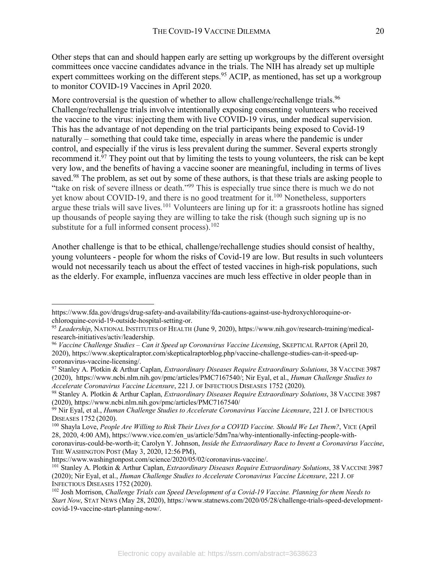Other steps that can and should happen early are setting up workgroups by the different oversight committees once vaccine candidates advance in the trials. The NIH has already set up multiple expert committees working on the different steps.<sup>95</sup> ACIP, as mentioned, has set up a workgroup to monitor COVID-19 Vaccines in April 2020.

More controversial is the question of whether to allow challenge/rechallenge trials.<sup>96</sup> Challenge/rechallenge trials involve intentionally exposing consenting volunteers who received the vaccine to the virus: injecting them with live COVID-19 virus, under medical supervision. This has the advantage of not depending on the trial participants being exposed to Covid-19 naturally – something that could take time, especially in areas where the pandemic is under control, and especially if the virus is less prevalent during the summer. Several experts strongly recommend it. $\frac{97}{7}$  They point out that by limiting the tests to young volunteers, the risk can be kept very low, and the benefits of having a vaccine sooner are meaningful, including in terms of lives saved.<sup>98</sup> The problem, as set out by some of these authors, is that these trials are asking people to "take on risk of severe illness or death."99 This is especially true since there is much we do not yet know about COVID-19, and there is no good treatment for it.<sup>100</sup> Nonetheless, supporters argue these trials will save lives.<sup>101</sup> Volunteers are lining up for it: a grassroots hotline has signed up thousands of people saying they are willing to take the risk (though such signing up is no substitute for a full informed consent process). $102$ 

Another challenge is that to be ethical, challenge/rechallenge studies should consist of healthy, young volunteers - people for whom the risks of Covid-19 are low. But results in such volunteers would not necessarily teach us about the effect of tested vaccines in high-risk populations, such as the elderly. For example, influenza vaccines are much less effective in older people than in

https://www.fda.gov/drugs/drug-safety-and-availability/fda-cautions-against-use-hydroxychloroquine-or-

<sup>&</sup>lt;sup>95</sup> Leadership, NATIONAL INSTITUTES OF HEALTH (June 9, 2020), https://www.nih.gov/research-training/medicalresearch-initiatives/activ/leadership. 96 *Vaccine Challenge Studies – Can it Speed up Coronavirus Vaccine Licensing*, SKEPTICAL RAPTOR (April 20,

<sup>2020),</sup> https://www.skepticalraptor.com/skepticalraptorblog.php/vaccine-challenge-studies-can-it-speed-upcoronavirus-vaccine-licensing/. 97 Stanley A. Plotkin & Arthur Caplan, *Extraordinary Diseases Require Extraordinary Solutions*, 38 VACCINE 3987

<sup>(2020),</sup> https://www.ncbi.nlm.nih.gov/pmc/articles/PMC7167540/; Nir Eyal, et al., *Human Challenge Studies to Accelerate Coronavirus Vaccine Licensure*, 221 J. OF INFECTIOUS DISEASES 1752 (2020).

<sup>98</sup> Stanley A. Plotkin & Arthur Caplan, *Extraordinary Diseases Require Extraordinary Solutions*, 38 VACCINE 3987 (2020), https://www.ncbi.nlm.nih.gov/pmc/articles/PMC7167540/

<sup>99</sup> Nir Eyal, et al., *Human Challenge Studies to Accelerate Coronavirus Vaccine Licensure*, 221 J. OF INFECTIOUS DISEASES 1752 (2020).

<sup>100</sup> Shayla Love, *People Are Willing to Risk Their Lives for a COVID Vaccine. Should We Let Them?*, VICE (April 28, 2020, 4:00 AM), https://www.vice.com/en\_us/article/5dm7na/why-intentionally-infecting-people-withcoronavirus-could-be-worth-it; Carolyn Y. Johnson, *Inside the Extraordinary Race to Invent a Coronavirus Vaccine*, THE WASHINGTON POST (May 3, 2020, 12:56 PM),

https://www.washingtonpost.com/science/2020/05/02/coronavirus-vaccine/.

<sup>&</sup>lt;sup>101</sup> Stanley A. Plotkin & Arthur Caplan, *Extraordinary Diseases Require Extraordinary Solutions*, 38 VACCINE 3987 (2020); Nir Eyal, et al., *Human Challenge Studies to Accelerate Coronavirus Vaccine Licensure*, 221 J. OF INFECTIOUS DISEASES 1752 (2020).<br><sup>102</sup> Josh Morrison, *Challenge Trials can Speed Development of a Covid-19 Vaccine. Planning for them Needs to* 

*Start Now*, STAT NEWS (May 28, 2020), https://www.statnews.com/2020/05/28/challenge-trials-speed-developmentcovid-19-vaccine-start-planning-now/.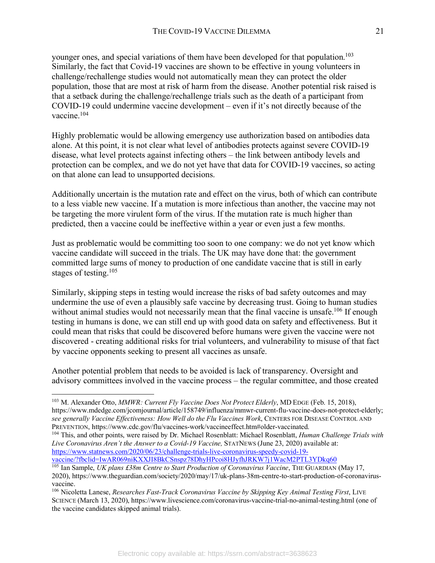younger ones, and special variations of them have been developed for that population.<sup>103</sup> Similarly, the fact that Covid-19 vaccines are shown to be effective in young volunteers in challenge/rechallenge studies would not automatically mean they can protect the older population, those that are most at risk of harm from the disease. Another potential risk raised is that a setback during the challenge/rechallenge trials such as the death of a participant from COVID-19 could undermine vaccine development – even if it's not directly because of the vaccine.<sup>104</sup>

Highly problematic would be allowing emergency use authorization based on antibodies data alone. At this point, it is not clear what level of antibodies protects against severe COVID-19 disease, what level protects against infecting others – the link between antibody levels and protection can be complex, and we do not yet have that data for COVID-19 vaccines, so acting on that alone can lead to unsupported decisions.

Additionally uncertain is the mutation rate and effect on the virus, both of which can contribute to a less viable new vaccine. If a mutation is more infectious than another, the vaccine may not be targeting the more virulent form of the virus. If the mutation rate is much higher than predicted, then a vaccine could be ineffective within a year or even just a few months.

Just as problematic would be committing too soon to one company: we do not yet know which vaccine candidate will succeed in the trials. The UK may have done that: the government committed large sums of money to production of one candidate vaccine that is still in early stages of testing.105

Similarly, skipping steps in testing would increase the risks of bad safety outcomes and may undermine the use of even a plausibly safe vaccine by decreasing trust. Going to human studies without animal studies would not necessarily mean that the final vaccine is unsafe.<sup>106</sup> If enough testing in humans is done, we can still end up with good data on safety and effectiveness. But it could mean that risks that could be discovered before humans were given the vaccine were not discovered - creating additional risks for trial volunteers, and vulnerability to misuse of that fact by vaccine opponents seeking to present all vaccines as unsafe.

Another potential problem that needs to be avoided is lack of transparency. Oversight and advisory committees involved in the vaccine process – the regular committee, and those created

 <sup>103</sup> M. Alexander Otto, *MMWR: Current Fly Vaccine Does Not Protect Elderly*, MD EDGE (Feb. 15, 2018), https://www.mdedge.com/jcomjournal/article/158749/influenza/mmwr-current-flu-vaccine-does-not-protect-elderly; *see generally Vaccine Effectiveness: How Well do the Flu Vaccines Work*, CENTERS FOR DISEASE CONTROL AND PREVENTION, https://www.cdc.gov/flu/vaccines-work/vaccineeffect.htm#older-vaccinated. 104 This, and other points, were raised by Dr. Michael Rosenblatt: Michael Rosenblatt, *Human Challenge Trials with* 

*Live Coronavirus Aren't the Answer to a Covid-19 Vaccine,* STATNEWS (June 23, 2020) available at: https://www.statnews.com/2020/06/23/challenge-trials-live-coronavirus-speedy-covid-19-

vaccine/?fbclid=IwAR069niKXXJI8BkCSnspz78DhyHPcoi8HJyfhJRKW7j1WacM2PTL3YDkq60

<sup>105</sup> Ian Sample, *UK plans £38m Centre to Start Production of Coronavirus Vaccine*, THE GUARDIAN (May 17, 2020), https://www.theguardian.com/society/2020/may/17/uk-plans-38m-centre-to-start-production-of-coronavirusvaccine.

<sup>&</sup>lt;sup>106</sup> Nicoletta Lanese, *Researches Fast-Track Coronavirus Vaccine by Skipping Key Animal Testing First*, LIVE SCIENCE (March 13, 2020), https://www.livescience.com/coronavirus-vaccine-trial-no-animal-testing.html (one of the vaccine candidates skipped animal trials).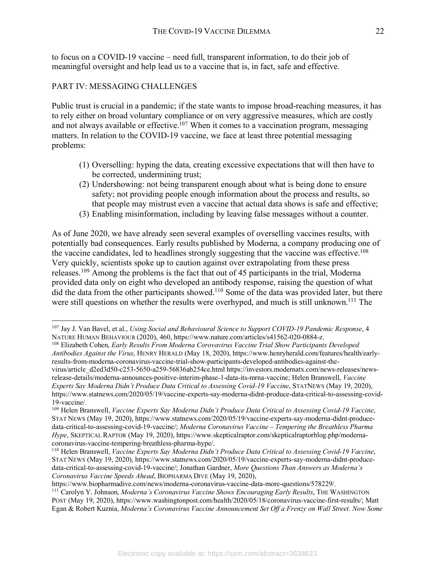to focus on a COVID-19 vaccine – need full, transparent information, to do their job of meaningful oversight and help lead us to a vaccine that is, in fact, safe and effective.

# PART IV: MESSAGING CHALLENGES

Public trust is crucial in a pandemic; if the state wants to impose broad-reaching measures, it has to rely either on broad voluntary compliance or on very aggressive measures, which are costly and not always available or effective.<sup>107</sup> When it comes to a vaccination program, messaging matters. In relation to the COVID-19 vaccine, we face at least three potential messaging problems:

- (1) Overselling: hyping the data, creating excessive expectations that will then have to be corrected, undermining trust;
- (2) Undershowing: not being transparent enough about what is being done to ensure safety; not providing people enough information about the process and results, so that people may mistrust even a vaccine that actual data shows is safe and effective;
- (3) Enabling misinformation, including by leaving false messages without a counter.

As of June 2020, we have already seen several examples of overselling vaccines results, with potentially bad consequences. Early results published by Moderna, a company producing one of the vaccine candidates, led to headlines strongly suggesting that the vaccine was effective.<sup>108</sup> Very quickly, scientists spoke up to caution against over extrapolating from these press releases.109 Among the problems is the fact that out of 45 participants in the trial, Moderna provided data only on eight who developed an antibody response, raising the question of what did the data from the other participants showed.<sup>110</sup> Some of the data was provided later, but there were still questions on whether the results were overhyped, and much is still unknown.<sup>111</sup> The

 <sup>107</sup> Jay J. Van Bavel, et al., *Using Social and Behavioural Science to Support COVID-19 Pandemic Response*, 4 NATURE HUMAN BEHAVIOUR (2020), 460, https://www.nature.com/articles/s41562-020-0884-z.

<sup>108</sup> Elizabeth Cohen, *Early Results From Moderna Corovavirus Vaccine Trial Show Participants Developed Antibodies Against the Virus*, HENRY HERALD (May 18, 2020), https://www.henryherald.com/features/health/earlyresults-from-moderna-coronavirus-vaccine-trial-show-participants-developed-antibodies-against-thevirus/article\_d2ed3d50-c253-5650-a259-56836ab254ce.html https://investors.modernatx.com/news-releases/newsrelease-details/moderna-announces-positive-interim-phase-1-data-its-mrna-vaccine; Helen Branswell, *Vaccine Experts Say Moderna Didn't Produce Data Critical to Assessing Covid-19 Vaccine*, STATNEWS (May 19, 2020), https://www.statnews.com/2020/05/19/vaccine-experts-say-moderna-didnt-produce-data-critical-to-assessing-covid-19-vaccine/. 109 Helen Branswell, *Vaccine Experts Say Moderna Didn't Produce Data Critical to Assessing Covid-19 Vaccine*,

STAT NEWS (May 19, 2020), https://www.statnews.com/2020/05/19/vaccine-experts-say-moderna-didnt-producedata-critical-to-assessing-covid-19-vaccine/; *Moderna Coronavirus Vaccine – Tempering the Breathless Pharma Hype*, SKEPTICAL RAPTOR (May 19, 2020), https://www.skepticalraptor.com/skepticalraptorblog.php/modernacoronavirus-vaccine-tempering-breathless-pharma-hype/. 110 Helen Branswell, *Vaccine Experts Say Moderna Didn't Produce Data Critical to Assessing Covid-19 Vaccine*,

STAT NEWS (May 19, 2020), https://www.statnews.com/2020/05/19/vaccine-experts-say-moderna-didnt-producedata-critical-to-assessing-covid-19-vaccine/; Jonathan Gardner, *More Questions Than Answers as Moderna's Coronavirus Vaccine Speeds Ahead*, BIOPHARMA DIVE (May 19, 2020),

https://www.biopharmadive.com/news/moderna-coronavirus-vaccine-data-more-questions/578229/.

<sup>111</sup> Carolyn Y. Johnson, *Moderna's Coronavirus Vaccine Shows Encouraging Early Results*, THE WASHINGTON POST (May 19, 2020), https://www.washingtonpost.com/health/2020/05/18/coronavirus-vaccine-first-results/; Matt Egan & Robert Kuznia, *Moderna's Coronavirus Vaccine Announcement Set Off a Frenzy on Wall Street. Now Some*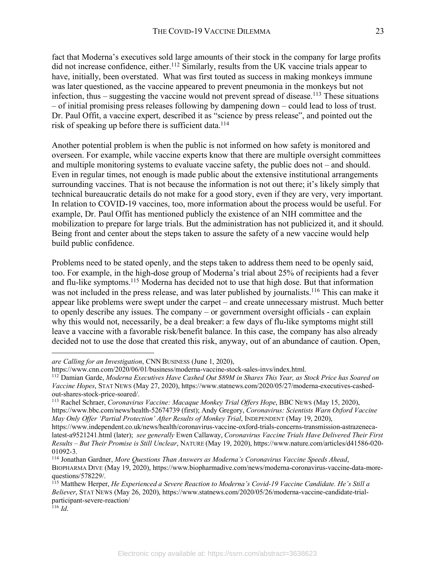fact that Moderna's executives sold large amounts of their stock in the company for large profits did not increase confidence, either.<sup>112</sup> Similarly, results from the UK vaccine trials appear to have, initially, been overstated. What was first touted as success in making monkeys immune was later questioned, as the vaccine appeared to prevent pneumonia in the monkeys but not infection, thus – suggesting the vaccine would not prevent spread of disease. <sup>113</sup> These situations – of initial promising press releases following by dampening down – could lead to loss of trust. Dr. Paul Offit, a vaccine expert, described it as "science by press release", and pointed out the risk of speaking up before there is sufficient data.<sup>114</sup>

Another potential problem is when the public is not informed on how safety is monitored and overseen. For example, while vaccine experts know that there are multiple oversight committees and multiple monitoring systems to evaluate vaccine safety, the public does not – and should. Even in regular times, not enough is made public about the extensive institutional arrangements surrounding vaccines. That is not because the information is not out there; it's likely simply that technical bureaucratic details do not make for a good story, even if they are very, very important. In relation to COVID-19 vaccines, too, more information about the process would be useful. For example, Dr. Paul Offit has mentioned publicly the existence of an NIH committee and the mobilization to prepare for large trials. But the administration has not publicized it, and it should. Being front and center about the steps taken to assure the safety of a new vaccine would help build public confidence.

Problems need to be stated openly, and the steps taken to address them need to be openly said, too. For example, in the high-dose group of Moderna's trial about 25% of recipients had a fever and flu-like symptoms.115 Moderna has decided not to use that high dose. But that information was not included in the press release, and was later published by journalists.<sup>116</sup> This can make it appear like problems were swept under the carpet – and create unnecessary mistrust. Much better to openly describe any issues. The company – or government oversight officials - can explain why this would not, necessarily, be a deal breaker: a few days of flu-like symptoms might still leave a vaccine with a favorable risk/benefit balance. In this case, the company has also already decided not to use the dose that created this risk, anyway, out of an abundance of caution. Open,

```
116 Id.
```
1

*are Calling for an Investigation*, CNN BUSINESS (June 1, 2020),

https://www.cnn.com/2020/06/01/business/moderna-vaccine-stock-sales-invs/index.html.

<sup>112</sup> Damian Garde, *Moderna Executives Have Cashed Out \$89M in Shares This Year, as Stock Price has Soared on Vaccine Hopes*, STAT NEWS (May 27, 2020), https://www.statnews.com/2020/05/27/moderna-executives-cashedout-shares-stock-price-soared/. 113 Rachel Schraer, *Coronavirus Vaccine: Macaque Monkey Trial Offers Hope*, BBC NEWS (May 15, 2020),

https://www.bbc.com/news/health-52674739 (first); Andy Gregory, *Coronavirus: Scientists Warn Oxford Vaccine May Only Offer 'Partial Protection' After Results of Monkey Trial*, INDEPENDENT (May 19, 2020),

https://www.independent.co.uk/news/health/coronavirus-vaccine-oxford-trials-concerns-transmission-astrazenecalatest-a9521241.html (later); *see generally* Ewen Callaway, *Coronavirus Vaccine Trials Have Delivered Their First Results – But Their Promise is Still Unclear*, NATURE (May 19, 2020), https://www.nature.com/articles/d41586-020- 01092-3.

<sup>114</sup> Jonathan Gardner, *More Questions Than Answers as Moderna's Coronavirus Vaccine Speeds Ahead*, BIOPHARMA DIVE (May 19, 2020), https://www.biopharmadive.com/news/moderna-coronavirus-vaccine-data-morequestions/578229/.

<sup>115</sup> Matthew Herper, *He Experienced a Severe Reaction to Moderna's Covid-19 Vaccine Candidate. He's Still a Believer*, STAT NEWS (May 26, 2020), https://www.statnews.com/2020/05/26/moderna-vaccine-candidate-trialparticipant-severe-reaction/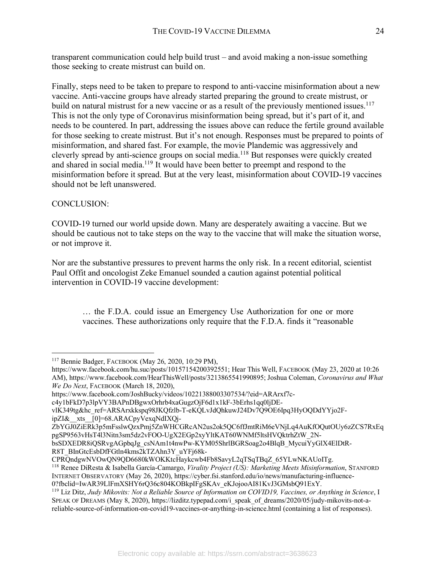transparent communication could help build trust – and avoid making a non-issue something those seeking to create mistrust can build on.

Finally, steps need to be taken to prepare to respond to anti-vaccine misinformation about a new vaccine. Anti-vaccine groups have already started preparing the ground to create mistrust, or build on natural mistrust for a new vaccine or as a result of the previously mentioned issues.<sup>117</sup> This is not the only type of Coronavirus misinformation being spread, but it's part of it, and needs to be countered. In part, addressing the issues above can reduce the fertile ground available for those seeking to create mistrust. But it's not enough. Responses must be prepared to points of misinformation, and shared fast. For example, the movie Plandemic was aggressively and cleverly spread by anti-science groups on social media.118 But responses were quickly created and shared in social media.119 It would have been better to preempt and respond to the misinformation before it spread. But at the very least, misinformation about COVID-19 vaccines should not be left unanswered.

# CONCLUSION:

COVID-19 turned our world upside down. Many are desperately awaiting a vaccine. But we should be cautious not to take steps on the way to the vaccine that will make the situation worse, or not improve it.

Nor are the substantive pressures to prevent harms the only risk. In a recent editorial, scientist Paul Offit and oncologist Zeke Emanuel sounded a caution against potential political intervention in COVID-19 vaccine development:

… the F.D.A. could issue an Emergency Use Authorization for one or more vaccines. These authorizations only require that the F.D.A. finds it "reasonable

ipZI&\_\_xts\_\_[0]=68.ARACpyVexqNdIXQj-

 <sup>117</sup> Bennie Badger, FACEBOOK (May 26, 2020, 10:29 PM),

https://www.facebook.com/hu.suc/posts/10157154200392551; Hear This Well, FACEBOOK (May 23, 2020 at 10:26 AM), https://www.facebook.com/HearThisWell/posts/3213865541990895; Joshua Coleman, *Coronavirus and What We Do Next*, FACEBOOK (March 18, 2020),

https://www.facebook.com/JoshBucky/videos/10221388003307534/?eid=ARArxf7c-

c4y1bFkD7p3lpVY3BAPnDBgwxOrhrb4xaGugzOjF6d1x1kF-3bErhs1qq0ljDE-

vlK349tg&hc\_ref=ARSArxkkspq98JKQfzlb-T-eKQLvJdQhkuwJ24Dv7Q9OE6Ipq3HyOQDdYYjo2F-

ZbYGJ0ZiERk3p5mFsslwQzxPmj5ZnWHCGRcAN2us2ok5QC6ffJmtRiM6eVNjLq4AuKfOQutOUy6zZCS7RxEq pgSP9563vHsT4l3Nitn3sm5dz2vFOO-UgX2EGp2xyYltKAT60WNMf5ltsHVQktrhZtW\_2N-

bsSDXEDR8iOSRvgAGpbqJg\_csNAm1t4nwPw-KYM05ShrlBGRSoag2o4BlqB\_MycuiYyGlX4ElDtR-R8T\_BInGtcEsbDfFGtln4kms2kTZAhn3Y\_uYFj68k-

CPRQndgwNVOwQN9QD6680kWOKKtcHaykcwb4Fb8SavyL2qTSqTBqZ\_65YLwNKAUoITg. 118 Renee DiResta & Isabella García-Camargo, *Virality Project (US): Marketing Meets Misinformation*, STANFORD INTERNET OBSERVATORY (May 26, 2020), https://cyber.fsi.stanford.edu/io/news/manufacturing-influence-0?fbclid=IwAR39LIFmXSHY6rQ36c804KOBkpIFgSKAv eKJojooAI81KvJ3GMsbQ91ExY.

<sup>&</sup>lt;sup>119</sup> Liz Ditz, Judy Mikovits: Not a Reliable Source of Information on COVID19, Vaccines, or Anything in Science, I SPEAK OF DREAMS (May 8, 2020), https://lizditz.typepad.com/i\_speak\_of\_dreams/2020/05/judy-mikovits-not-areliable-source-of-information-on-covid19-vaccines-or-anything-in-science.html (containing a list of responses).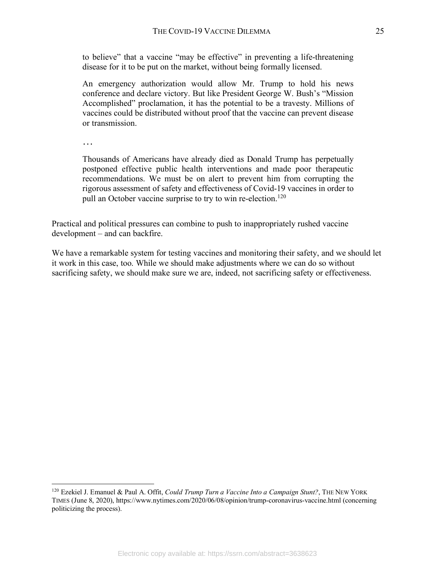to believe" that a vaccine "may be effective" in preventing a life-threatening disease for it to be put on the market, without being formally licensed.

An emergency authorization would allow Mr. Trump to hold his news conference and declare victory. But like President George W. Bush's "Mission Accomplished" proclamation, it has the potential to be a travesty. Millions of vaccines could be distributed without proof that the vaccine can prevent disease or transmission.

…

Thousands of Americans have already died as Donald Trump has perpetually postponed effective public health interventions and made poor therapeutic recommendations. We must be on alert to prevent him from corrupting the rigorous assessment of safety and effectiveness of Covid-19 vaccines in order to pull an October vaccine surprise to try to win re-election.<sup>120</sup>

Practical and political pressures can combine to push to inappropriately rushed vaccine development – and can backfire.

We have a remarkable system for testing vaccines and monitoring their safety, and we should let it work in this case, too. While we should make adjustments where we can do so without sacrificing safety, we should make sure we are, indeed, not sacrificing safety or effectiveness.

 <sup>120</sup> Ezekiel J. Emanuel & Paul A. Offit, *Could Trump Turn a Vaccine Into a Campaign Stunt?*, THE NEW YORK TIMES (June 8, 2020), https://www.nytimes.com/2020/06/08/opinion/trump-coronavirus-vaccine.html (concerning politicizing the process).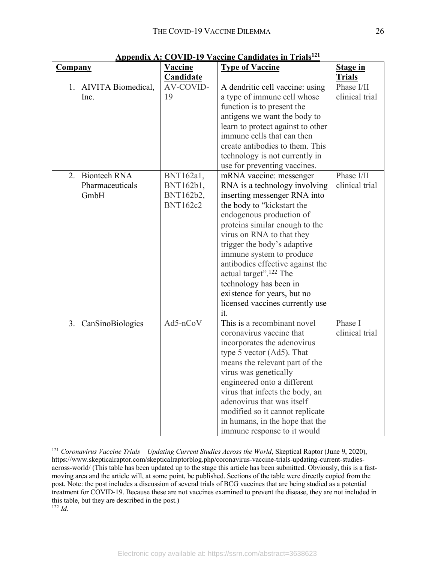| <b>Company</b>                | <b>Vaccine</b>         | <b>Type of Vaccine</b>                                                                       | <b>Stage in</b>              |
|-------------------------------|------------------------|----------------------------------------------------------------------------------------------|------------------------------|
|                               | Candidate              |                                                                                              | <b>Trials</b>                |
| 1. AIVITA Biomedical,<br>Inc. | AV-COVID-<br>19        | A dendritic cell vaccine: using<br>a type of immune cell whose<br>function is to present the | Phase I/II<br>clinical trial |
|                               |                        | antigens we want the body to                                                                 |                              |
|                               |                        | learn to protect against to other                                                            |                              |
|                               |                        | immune cells that can then                                                                   |                              |
|                               |                        | create antibodies to them. This                                                              |                              |
|                               |                        | technology is not currently in                                                               |                              |
|                               |                        | use for preventing vaccines.                                                                 |                              |
| <b>Biontech RNA</b><br>2.     | BNT162a1,              | mRNA vaccine: messenger                                                                      | Phase I/II                   |
| Pharmaceuticals<br>GmbH       | BNT162b1,<br>BNT162b2, | RNA is a technology involving<br>inserting messenger RNA into                                | clinical trial               |
|                               | <b>BNT162c2</b>        | the body to "kickstart the                                                                   |                              |
|                               |                        | endogenous production of                                                                     |                              |
|                               |                        | proteins similar enough to the                                                               |                              |
|                               |                        | virus on RNA to that they                                                                    |                              |
|                               |                        | trigger the body's adaptive                                                                  |                              |
|                               |                        | immune system to produce                                                                     |                              |
|                               |                        | antibodies effective against the                                                             |                              |
|                               |                        | actual target". <sup>122</sup> The                                                           |                              |
|                               |                        | technology has been in                                                                       |                              |
|                               |                        | existence for years, but no                                                                  |                              |
|                               |                        | licensed vaccines currently use                                                              |                              |
|                               |                        | it.                                                                                          |                              |
| 3. CanSinoBiologics           | Ad5-nCoV               | This is a recombinant novel                                                                  | Phase I                      |
|                               |                        | coronavirus vaccine that                                                                     | clinical trial               |
|                               |                        | incorporates the adenovirus<br>type 5 vector (Ad5). That                                     |                              |
|                               |                        | means the relevant part of the                                                               |                              |
|                               |                        | virus was genetically                                                                        |                              |
|                               |                        | engineered onto a different                                                                  |                              |
|                               |                        | virus that infects the body, an                                                              |                              |
|                               |                        | adenovirus that was itself                                                                   |                              |
|                               |                        | modified so it cannot replicate                                                              |                              |
|                               |                        | in humans, in the hope that the                                                              |                              |
|                               |                        | immune response to it would                                                                  |                              |

**Appendix A: COVID-19 Vaccine Candidates in Trials121**

<sup>&</sup>lt;sup>121</sup> *Coronavirus Vaccine Trials – Updating Current Studies Across the World*, Skeptical Raptor (June 9, 2020), https://www.skepticalraptor.com/skepticalraptorblog.php/coronavirus-vaccine-trials-updating-current-studiesacross-world/ (This table has been updated up to the stage this article has been submitted. Obviously, this is a fastmoving area and the article will, at some point, be published. Sections of the table were directly copied from the post. Note: the post includes a discussion of several trials of BCG vaccines that are being studied as a potential treatment for COVID-19. Because these are not vaccines examined to prevent the disease, they are not included in this table, but they are described in the post.) 122 *Id*.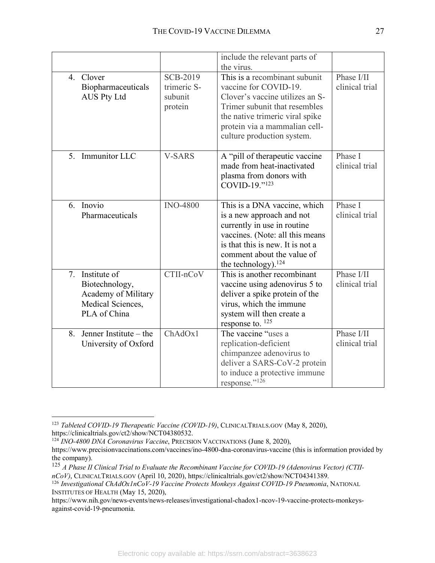|                                                                                                  |                                                      | include the relevant parts of<br>the virus.                                                                                                                                                                                  |                              |
|--------------------------------------------------------------------------------------------------|------------------------------------------------------|------------------------------------------------------------------------------------------------------------------------------------------------------------------------------------------------------------------------------|------------------------------|
| Clover<br>$4_{\cdot}$<br>Biopharmaceuticals<br><b>AUS Pty Ltd</b>                                | <b>SCB-2019</b><br>trimeric S-<br>subunit<br>protein | This is a recombinant subunit<br>vaccine for COVID-19.<br>Clover's vaccine utilizes an S-<br>Trimer subunit that resembles<br>the native trimeric viral spike<br>protein via a mammalian cell-<br>culture production system. | Phase I/II<br>clinical trial |
| 5. Immunitor LLC                                                                                 | <b>V-SARS</b>                                        | A "pill of therapeutic vaccine<br>made from heat-inactivated<br>plasma from donors with<br>COVID-19."123                                                                                                                     | Phase I<br>clinical trial    |
| 6. Inovio<br>Pharmaceuticals                                                                     | <b>INO-4800</b>                                      | This is a DNA vaccine, which<br>is a new approach and not<br>currently in use in routine<br>vaccines. (Note: all this means<br>is that this is new. It is not a<br>comment about the value of<br>the technology). $124$      | Phase I<br>clinical trial    |
| Institute of<br>7.<br>Biotechnology,<br>Academy of Military<br>Medical Sciences,<br>PLA of China | CTII-nCoV                                            | This is another recombinant<br>vaccine using adenovirus 5 to<br>deliver a spike protein of the<br>virus, which the immune<br>system will then create a<br>response to. $125$                                                 | Phase I/II<br>clinical trial |
| Jenner Institute – the<br>8.<br>University of Oxford                                             | ChAdOx1                                              | The vaccine "uses a<br>replication-deficient<br>chimpanzee adenovirus to<br>deliver a SARS-CoV-2 protein<br>to induce a protective immune<br>response."126                                                                   | Phase I/II<br>clinical trial |

<sup>&</sup>lt;sup>123</sup> *Tableted COVID-19 Therapeutic Vaccine (COVID-19)*, CLINICALTRIALS.GOV (May 8, 2020), https://clinicaltrials.gov/ct2/show/NCT04380532.

<sup>124</sup> *INO-4800 DNA Coronavirus Vaccine*, PRECISION VACCINATIONS (June 8, 2020),

https://www.precisionvaccinations.com/vaccines/ino-4800-dna-coronavirus-vaccine (this is information provided by the company).

<sup>125</sup> *A Phase II Clinical Trial to Evaluate the Recombinant Vaccine for COVID-19 (Adenovirus Vector) (CTII-*

*nCoV)*, CLINICALTRIALS.GOV (April 10, 2020), https://clinicaltrials.gov/ct2/show/NCT04341389. 126 *Investigational ChAdOx1nCoV-19 Vaccine Protects Monkeys Against COVID-19 Pneumonia*, NATIONAL

INSTITUTES OF HEALTH (May 15, 2020),

https://www.nih.gov/news-events/news-releases/investigational-chadox1-ncov-19-vaccine-protects-monkeysagainst-covid-19-pneumonia.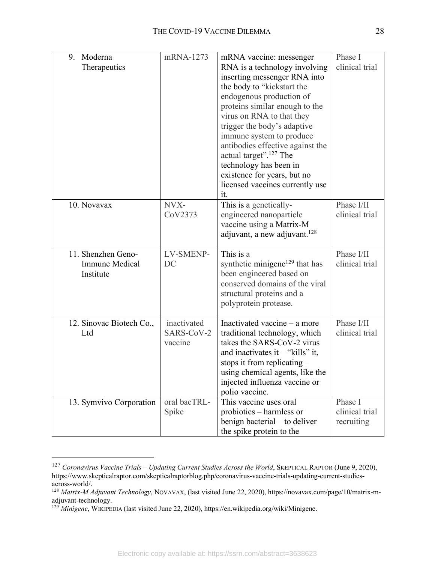| 9.<br>Moderna<br>Therapeutics                            | mRNA-1273                            | mRNA vaccine: messenger<br>RNA is a technology involving<br>inserting messenger RNA into<br>the body to "kickstart the<br>endogenous production of<br>proteins similar enough to the<br>virus on RNA to that they<br>trigger the body's adaptive<br>immune system to produce<br>antibodies effective against the<br>actual target". <sup>127</sup> The<br>technology has been in<br>existence for years, but no<br>licensed vaccines currently use<br>it. | Phase I<br>clinical trial               |
|----------------------------------------------------------|--------------------------------------|-----------------------------------------------------------------------------------------------------------------------------------------------------------------------------------------------------------------------------------------------------------------------------------------------------------------------------------------------------------------------------------------------------------------------------------------------------------|-----------------------------------------|
| 10. Novavax                                              | NVX-<br>CoV2373                      | This is a genetically-<br>engineered nanoparticle<br>vaccine using a Matrix-M<br>adjuvant, a new adjuvant. <sup>128</sup>                                                                                                                                                                                                                                                                                                                                 | Phase I/II<br>clinical trial            |
| 11. Shenzhen Geno-<br><b>Immune Medical</b><br>Institute | LV-SMENP-<br>DC                      | This is a<br>synthetic minigene <sup>129</sup> that has<br>been engineered based on<br>conserved domains of the viral<br>structural proteins and a<br>polyprotein protease.                                                                                                                                                                                                                                                                               | Phase I/II<br>clinical trial            |
| 12. Sinovac Biotech Co.,<br>Ltd                          | inactivated<br>SARS-CoV-2<br>vaccine | Inactivated vaccine - a more<br>traditional technology, which<br>takes the SARS-CoV-2 virus<br>and inactivates it $-$ "kills" it,<br>stops it from replicating $-$<br>using chemical agents, like the<br>injected influenza vaccine or<br>polio vaccine.                                                                                                                                                                                                  | Phase I/II<br>clinical trial            |
| 13. Symvivo Corporation                                  | oral bacTRL-<br>Spike                | This vaccine uses oral<br>probiotics – harmless or<br>benign bacterial – to deliver<br>the spike protein to the                                                                                                                                                                                                                                                                                                                                           | Phase I<br>clinical trial<br>recruiting |

 <sup>127</sup> *Coronavirus Vaccine Trials – Updating Current Studies Across the World*, SKEPTICAL RAPTOR (June 9, 2020), https://www.skepticalraptor.com/skepticalraptorblog.php/coronavirus-vaccine-trials-updating-current-studiesacross-world/.

<sup>128</sup> *Matrix-M Adjuvant Technology*, NOVAVAX, (last visited June 22, 2020), https://novavax.com/page/10/matrix-madjuvant-technology. 129 *Minigene*, WIKIPEDIA (last visited June 22, 2020), https://en.wikipedia.org/wiki/Minigene.